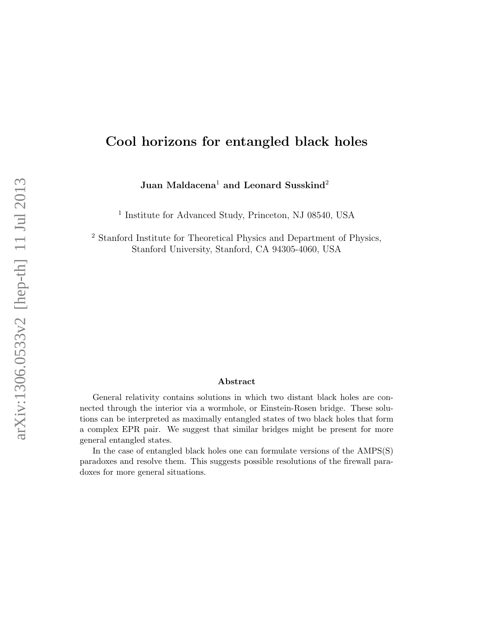## Cool horizons for entangled black holes

Juan Maldacena<sup>1</sup> and Leonard Susskind<sup>2</sup>

<sup>1</sup> Institute for Advanced Study, Princeton, NJ 08540, USA

<sup>2</sup> Stanford Institute for Theoretical Physics and Department of Physics, Stanford University, Stanford, CA 94305-4060, USA

#### Abstract

General relativity contains solutions in which two distant black holes are connected through the interior via a wormhole, or Einstein-Rosen bridge. These solutions can be interpreted as maximally entangled states of two black holes that form a complex EPR pair. We suggest that similar bridges might be present for more general entangled states.

In the case of entangled black holes one can formulate versions of the AMPS(S) paradoxes and resolve them. This suggests possible resolutions of the firewall paradoxes for more general situations.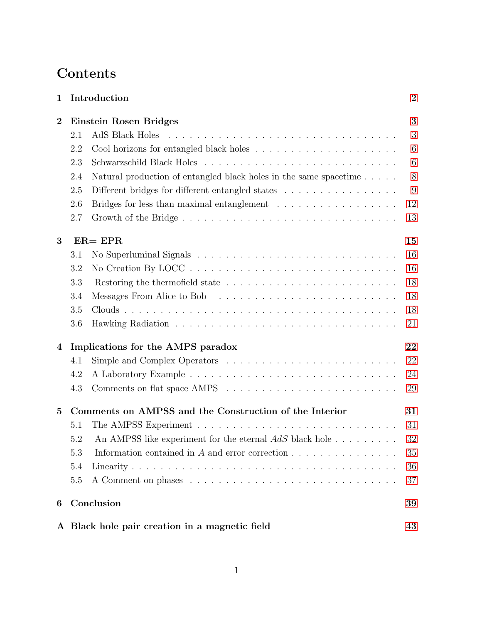# Contents

| 1               |                                                        | Introduction                                                                                                           | $\overline{2}$ |
|-----------------|--------------------------------------------------------|------------------------------------------------------------------------------------------------------------------------|----------------|
| $\overline{2}$  | <b>Einstein Rosen Bridges</b>                          |                                                                                                                        | 3              |
|                 | 2.1                                                    | AdS Black Holes                                                                                                        | 3              |
|                 | 2.2                                                    |                                                                                                                        | 6              |
|                 | 2.3                                                    |                                                                                                                        | 6              |
|                 | 2.4                                                    | Natural production of entangled black holes in the same spacetime                                                      | 8              |
|                 | 2.5                                                    | Different bridges for different entangled states $\ldots \ldots \ldots \ldots \ldots$                                  | 9              |
|                 | 2.6                                                    |                                                                                                                        | 12             |
|                 | 2.7                                                    |                                                                                                                        | 13             |
| 3               | $ER = EPR$                                             |                                                                                                                        | 15             |
|                 | 3.1                                                    |                                                                                                                        | 16             |
|                 | 3.2                                                    | No Creation By LOCC $\ldots \ldots \ldots \ldots \ldots \ldots \ldots \ldots \ldots \ldots \ldots$                     | 16             |
|                 | 3.3                                                    | Restoring the thermofield state $\hfill\ldots\ldots\ldots\ldots\ldots\ldots\ldots\ldots\ldots\ldots\ldots\ldots\ldots$ | 18             |
|                 | 3.4                                                    |                                                                                                                        | 18             |
|                 | 3.5                                                    |                                                                                                                        | 18             |
|                 | 3.6                                                    |                                                                                                                        | 21             |
| 4               | Implications for the AMPS paradox                      |                                                                                                                        | 22             |
|                 | 4.1                                                    |                                                                                                                        | 22             |
|                 | 4.2                                                    |                                                                                                                        | 24             |
|                 | 4.3                                                    |                                                                                                                        | 29             |
| $5\phantom{.0}$ | Comments on AMPSS and the Construction of the Interior |                                                                                                                        | 31             |
|                 | 5.1                                                    |                                                                                                                        | 31             |
|                 | 5.2                                                    | An AMPSS like experiment for the eternal $AdS$ black hole                                                              | 32             |
|                 | 5.3                                                    | Information contained in A and error correction $\dots \dots \dots \dots \dots$                                        | 35             |
|                 | 5.4                                                    |                                                                                                                        | 36             |
|                 | 5.5                                                    |                                                                                                                        | 37             |
| 6               | Conclusion                                             |                                                                                                                        | 39             |
|                 | A Black hole pair creation in a magnetic field         |                                                                                                                        | 43             |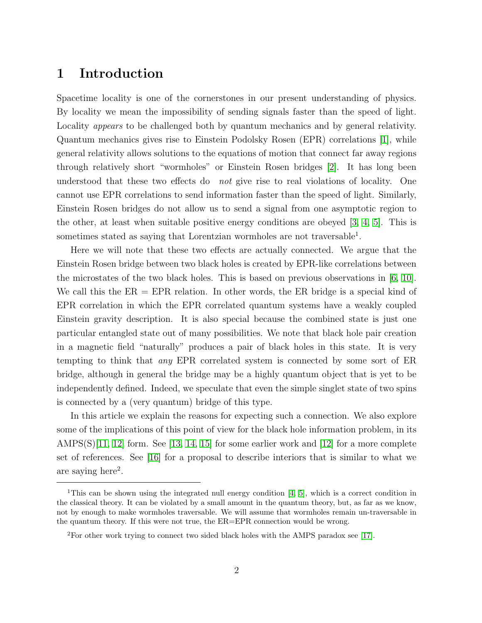### <span id="page-2-0"></span>1 Introduction

Spacetime locality is one of the cornerstones in our present understanding of physics. By locality we mean the impossibility of sending signals faster than the speed of light. Locality appears to be challenged both by quantum mechanics and by general relativity. Quantum mechanics gives rise to Einstein Podolsky Rosen (EPR) correlations [\[1\]](#page-46-0), while general relativity allows solutions to the equations of motion that connect far away regions through relatively short "wormholes" or Einstein Rosen bridges [\[2\]](#page-46-1). It has long been understood that these two effects do not give rise to real violations of locality. One cannot use EPR correlations to send information faster than the speed of light. Similarly, Einstein Rosen bridges do not allow us to send a signal from one asymptotic region to the other, at least when suitable positive energy conditions are obeyed  $[3, 4, 5]$  $[3, 4, 5]$  $[3, 4, 5]$ . This is sometimes stated as saying that Lorentzian wormholes are not traversable<sup>1</sup>.

Here we will note that these two effects are actually connected. We argue that the Einstein Rosen bridge between two black holes is created by EPR-like correlations between the microstates of the two black holes. This is based on previous observations in [\[6,](#page-46-5) [10\]](#page-46-6). We call this the  $ER = EPR$  relation. In other words, the  $ER$  bridge is a special kind of EPR correlation in which the EPR correlated quantum systems have a weakly coupled Einstein gravity description. It is also special because the combined state is just one particular entangled state out of many possibilities. We note that black hole pair creation in a magnetic field "naturally" produces a pair of black holes in this state. It is very tempting to think that any EPR correlated system is connected by some sort of ER bridge, although in general the bridge may be a highly quantum object that is yet to be independently defined. Indeed, we speculate that even the simple singlet state of two spins is connected by a (very quantum) bridge of this type.

In this article we explain the reasons for expecting such a connection. We also explore some of the implications of this point of view for the black hole information problem, in its AMPS $(S)[11, 12]$  $(S)[11, 12]$  $(S)[11, 12]$  form. See [\[13,](#page-46-9) [14,](#page-47-0) [15\]](#page-47-1) for some earlier work and [\[12\]](#page-46-8) for a more complete set of references. See [\[16\]](#page-47-2) for a proposal to describe interiors that is similar to what we are saying here<sup>2</sup>.

<sup>&</sup>lt;sup>1</sup>This can be shown using the integrated null energy condition  $[4, 5]$  $[4, 5]$ , which is a correct condition in the classical theory. It can be violated by a small amount in the quantum theory, but, as far as we know, not by enough to make wormholes traversable. We will assume that wormholes remain un-traversable in the quantum theory. If this were not true, the ER=EPR connection would be wrong.

<sup>2</sup>For other work trying to connect two sided black holes with the AMPS paradox see [\[17\]](#page-47-3).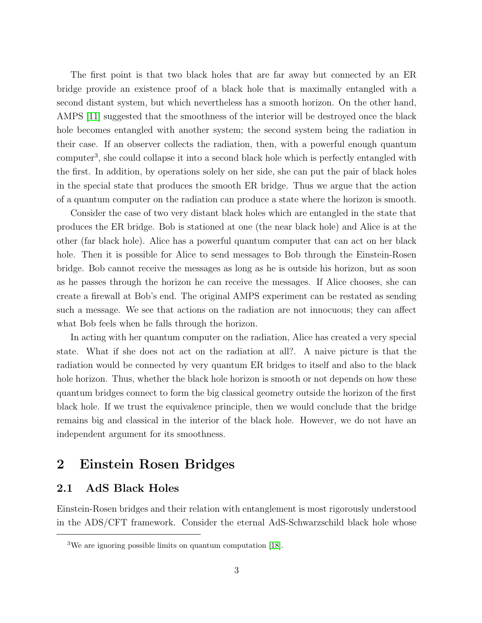The first point is that two black holes that are far away but connected by an ER bridge provide an existence proof of a black hole that is maximally entangled with a second distant system, but which nevertheless has a smooth horizon. On the other hand, AMPS [\[11\]](#page-46-7) suggested that the smoothness of the interior will be destroyed once the black hole becomes entangled with another system; the second system being the radiation in their case. If an observer collects the radiation, then, with a powerful enough quantum computer<sup>3</sup>, she could collapse it into a second black hole which is perfectly entangled with the first. In addition, by operations solely on her side, she can put the pair of black holes in the special state that produces the smooth ER bridge. Thus we argue that the action of a quantum computer on the radiation can produce a state where the horizon is smooth.

Consider the case of two very distant black holes which are entangled in the state that produces the ER bridge. Bob is stationed at one (the near black hole) and Alice is at the other (far black hole). Alice has a powerful quantum computer that can act on her black hole. Then it is possible for Alice to send messages to Bob through the Einstein-Rosen bridge. Bob cannot receive the messages as long as he is outside his horizon, but as soon as he passes through the horizon he can receive the messages. If Alice chooses, she can create a firewall at Bob's end. The original AMPS experiment can be restated as sending such a message. We see that actions on the radiation are not innocuous; they can affect what Bob feels when he falls through the horizon.

In acting with her quantum computer on the radiation, Alice has created a very special state. What if she does not act on the radiation at all?. A naive picture is that the radiation would be connected by very quantum ER bridges to itself and also to the black hole horizon. Thus, whether the black hole horizon is smooth or not depends on how these quantum bridges connect to form the big classical geometry outside the horizon of the first black hole. If we trust the equivalence principle, then we would conclude that the bridge remains big and classical in the interior of the black hole. However, we do not have an independent argument for its smoothness.

### <span id="page-3-0"></span>2 Einstein Rosen Bridges

#### <span id="page-3-1"></span>2.1 AdS Black Holes

Einstein-Rosen bridges and their relation with entanglement is most rigorously understood in the ADS/CFT framework. Consider the eternal AdS-Schwarzschild black hole whose

<sup>3</sup>We are ignoring possible limits on quantum computation [\[18\]](#page-47-4).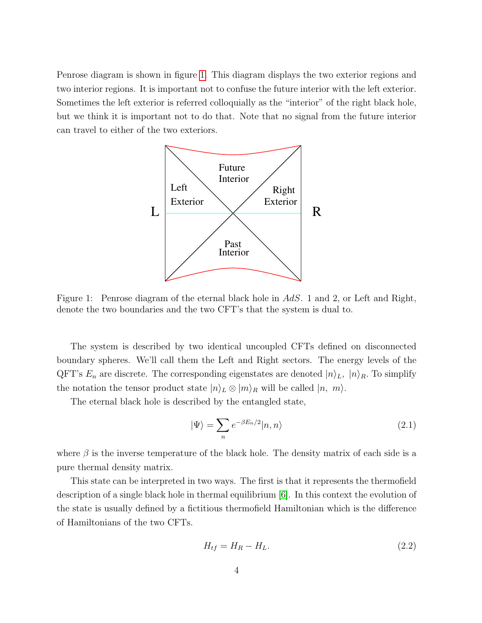Penrose diagram is shown in figure [1.](#page-4-0) This diagram displays the two exterior regions and two interior regions. It is important not to confuse the future interior with the left exterior. Sometimes the left exterior is referred colloquially as the "interior" of the right black hole, but we think it is important not to do that. Note that no signal from the future interior can travel to either of the two exteriors.



<span id="page-4-0"></span>Figure 1: Penrose diagram of the eternal black hole in AdS. 1 and 2, or Left and Right, denote the two boundaries and the two CFT's that the system is dual to.

The system is described by two identical uncoupled CFTs defined on disconnected boundary spheres. We'll call them the Left and Right sectors. The energy levels of the QFT's  $E_n$  are discrete. The corresponding eigenstates are denoted  $|n\rangle_L$ ,  $|n\rangle_R$ . To simplify the notation the tensor product state  $|n\rangle_L \otimes |m\rangle_R$  will be called  $|n, m\rangle$ .

The eternal black hole is described by the entangled state,

<span id="page-4-2"></span>
$$
|\Psi\rangle = \sum_{n} e^{-\beta E_n/2} |n, n\rangle \tag{2.1}
$$

where  $\beta$  is the inverse temperature of the black hole. The density matrix of each side is a pure thermal density matrix.

This state can be interpreted in two ways. The first is that it represents the thermofield description of a single black hole in thermal equilibrium [\[6\]](#page-46-5). In this context the evolution of the state is usually defined by a fictitious thermofield Hamiltonian which is the difference of Hamiltonians of the two CFTs.

<span id="page-4-1"></span>
$$
H_{tf} = H_R - H_L. \tag{2.2}
$$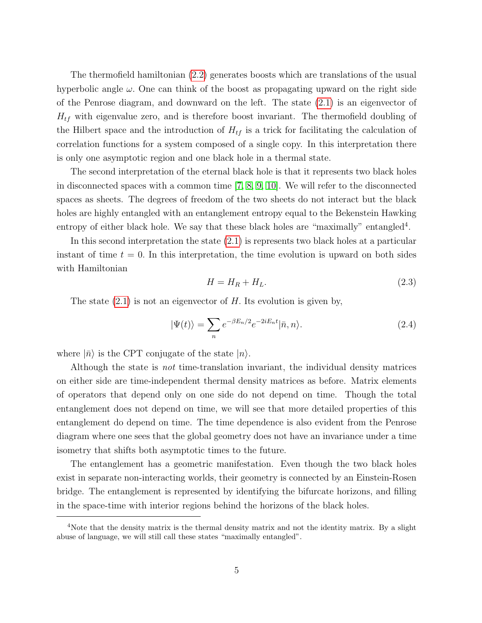The thermofield hamiltonian [\(2.2\)](#page-4-1) generates boosts which are translations of the usual hyperbolic angle  $\omega$ . One can think of the boost as propagating upward on the right side of the Penrose diagram, and downward on the left. The state [\(2.1\)](#page-4-2) is an eigenvector of  $H_{tf}$  with eigenvalue zero, and is therefore boost invariant. The thermofield doubling of the Hilbert space and the introduction of  $H_{tf}$  is a trick for facilitating the calculation of correlation functions for a system composed of a single copy. In this interpretation there is only one asymptotic region and one black hole in a thermal state.

The second interpretation of the eternal black hole is that it represents two black holes in disconnected spaces with a common time [\[7,](#page-46-10) [8,](#page-46-11) [9,](#page-46-12) [10\]](#page-46-6). We will refer to the disconnected spaces as sheets. The degrees of freedom of the two sheets do not interact but the black holes are highly entangled with an entanglement entropy equal to the Bekenstein Hawking entropy of either black hole. We say that these black holes are "maximally" entangled<sup>4</sup>.

In this second interpretation the state [\(2.1\)](#page-4-2) is represents two black holes at a particular instant of time  $t = 0$ . In this interpretation, the time evolution is upward on both sides with Hamiltonian

<span id="page-5-0"></span>
$$
H = H_R + H_L. \tag{2.3}
$$

The state  $(2.1)$  is not an eigenvector of H. Its evolution is given by,

$$
|\Psi(t)\rangle = \sum_{n} e^{-\beta E_n/2} e^{-2iE_n t} |\bar{n}, n\rangle.
$$
 (2.4)

where  $|\bar{n}\rangle$  is the CPT conjugate of the state  $|n\rangle$ .

Although the state is not time-translation invariant, the individual density matrices on either side are time-independent thermal density matrices as before. Matrix elements of operators that depend only on one side do not depend on time. Though the total entanglement does not depend on time, we will see that more detailed properties of this entanglement do depend on time. The time dependence is also evident from the Penrose diagram where one sees that the global geometry does not have an invariance under a time isometry that shifts both asymptotic times to the future.

The entanglement has a geometric manifestation. Even though the two black holes exist in separate non-interacting worlds, their geometry is connected by an Einstein-Rosen bridge. The entanglement is represented by identifying the bifurcate horizons, and filling in the space-time with interior regions behind the horizons of the black holes.

<sup>&</sup>lt;sup>4</sup>Note that the density matrix is the thermal density matrix and not the identity matrix. By a slight abuse of language, we will still call these states "maximally entangled".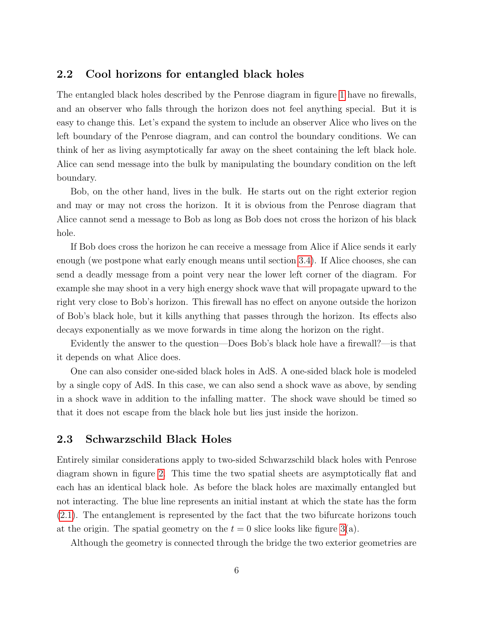#### <span id="page-6-0"></span>2.2 Cool horizons for entangled black holes

The entangled black holes described by the Penrose diagram in figure [1](#page-4-0) have no firewalls, and an observer who falls through the horizon does not feel anything special. But it is easy to change this. Let's expand the system to include an observer Alice who lives on the left boundary of the Penrose diagram, and can control the boundary conditions. We can think of her as living asymptotically far away on the sheet containing the left black hole. Alice can send message into the bulk by manipulating the boundary condition on the left boundary.

Bob, on the other hand, lives in the bulk. He starts out on the right exterior region and may or may not cross the horizon. It it is obvious from the Penrose diagram that Alice cannot send a message to Bob as long as Bob does not cross the horizon of his black hole.

If Bob does cross the horizon he can receive a message from Alice if Alice sends it early enough (we postpone what early enough means until section [3.4\)](#page-18-1). If Alice chooses, she can send a deadly message from a point very near the lower left corner of the diagram. For example she may shoot in a very high energy shock wave that will propagate upward to the right very close to Bob's horizon. This firewall has no effect on anyone outside the horizon of Bob's black hole, but it kills anything that passes through the horizon. Its effects also decays exponentially as we move forwards in time along the horizon on the right.

Evidently the answer to the question—Does Bob's black hole have a firewall?—is that it depends on what Alice does.

One can also consider one-sided black holes in AdS. A one-sided black hole is modeled by a single copy of AdS. In this case, we can also send a shock wave as above, by sending in a shock wave in addition to the infalling matter. The shock wave should be timed so that it does not escape from the black hole but lies just inside the horizon.

#### <span id="page-6-1"></span>2.3 Schwarzschild Black Holes

Entirely similar considerations apply to two-sided Schwarzschild black holes with Penrose diagram shown in figure [2.](#page-7-0) This time the two spatial sheets are asymptotically flat and each has an identical black hole. As before the black holes are maximally entangled but not interacting. The blue line represents an initial instant at which the state has the form [\(2.1\)](#page-4-2). The entanglement is represented by the fact that the two bifurcate horizons touch at the origin. The spatial geometry on the  $t = 0$  slice looks like figure [3\(](#page-7-1)a).

Although the geometry is connected through the bridge the two exterior geometries are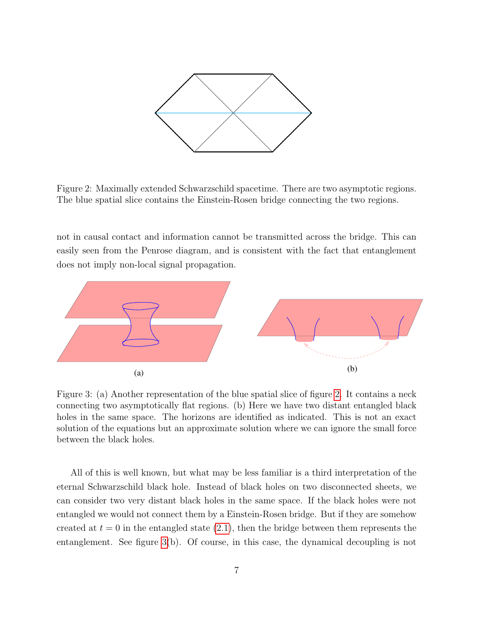

<span id="page-7-0"></span>Figure 2: Maximally extended Schwarzschild spacetime. There are two asymptotic regions. The blue spatial slice contains the Einstein-Rosen bridge connecting the two regions.

not in causal contact and information cannot be transmitted across the bridge. This can easily seen from the Penrose diagram, and is consistent with the fact that entanglement does not imply non-local signal propagation.



<span id="page-7-1"></span>Figure 3: (a) Another representation of the blue spatial slice of figure [2.](#page-7-0) It contains a neck connecting two asymptotically flat regions. (b) Here we have two distant entangled black holes in the same space. The horizons are identified as indicated. This is not an exact solution of the equations but an approximate solution where we can ignore the small force between the black holes.

All of this is well known, but what may be less familiar is a third interpretation of the eternal Schwarzschild black hole. Instead of black holes on two disconnected sheets, we can consider two very distant black holes in the same space. If the black holes were not entangled we would not connect them by a Einstein-Rosen bridge. But if they are somehow created at  $t = 0$  in the entangled state [\(2.1\)](#page-4-2), then the bridge between them represents the entanglement. See figure [3\(](#page-7-1)b). Of course, in this case, the dynamical decoupling is not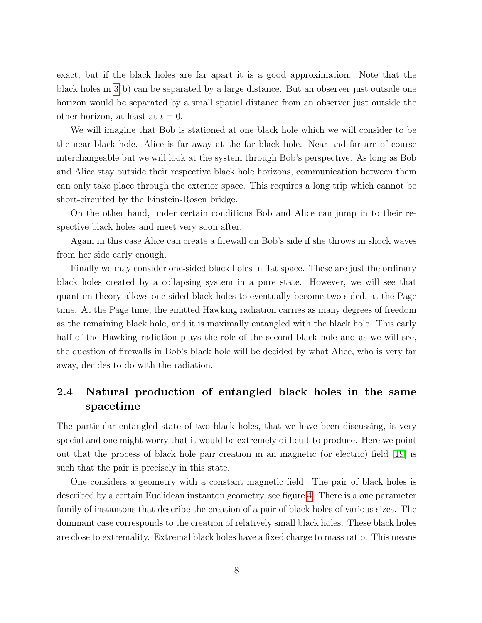exact, but if the black holes are far apart it is a good approximation. Note that the black holes in [3\(](#page-7-1)b) can be separated by a large distance. But an observer just outside one horizon would be separated by a small spatial distance from an observer just outside the other horizon, at least at  $t = 0$ .

We will imagine that Bob is stationed at one black hole which we will consider to be the near black hole. Alice is far away at the far black hole. Near and far are of course interchangeable but we will look at the system through Bob's perspective. As long as Bob and Alice stay outside their respective black hole horizons, communication between them can only take place through the exterior space. This requires a long trip which cannot be short-circuited by the Einstein-Rosen bridge.

On the other hand, under certain conditions Bob and Alice can jump in to their respective black holes and meet very soon after.

Again in this case Alice can create a firewall on Bob's side if she throws in shock waves from her side early enough.

Finally we may consider one-sided black holes in flat space. These are just the ordinary black holes created by a collapsing system in a pure state. However, we will see that quantum theory allows one-sided black holes to eventually become two-sided, at the Page time. At the Page time, the emitted Hawking radiation carries as many degrees of freedom as the remaining black hole, and it is maximally entangled with the black hole. This early half of the Hawking radiation plays the role of the second black hole and as we will see, the question of firewalls in Bob's black hole will be decided by what Alice, who is very far away, decides to do with the radiation.

### <span id="page-8-0"></span>2.4 Natural production of entangled black holes in the same spacetime

The particular entangled state of two black holes, that we have been discussing, is very special and one might worry that it would be extremely difficult to produce. Here we point out that the process of black hole pair creation in an magnetic (or electric) field [\[19\]](#page-47-5) is such that the pair is precisely in this state.

One considers a geometry with a constant magnetic field. The pair of black holes is described by a certain Euclidean instanton geometry, see figure [4.](#page-9-1) There is a one parameter family of instantons that describe the creation of a pair of black holes of various sizes. The dominant case corresponds to the creation of relatively small black holes. These black holes are close to extremality. Extremal black holes have a fixed charge to mass ratio. This means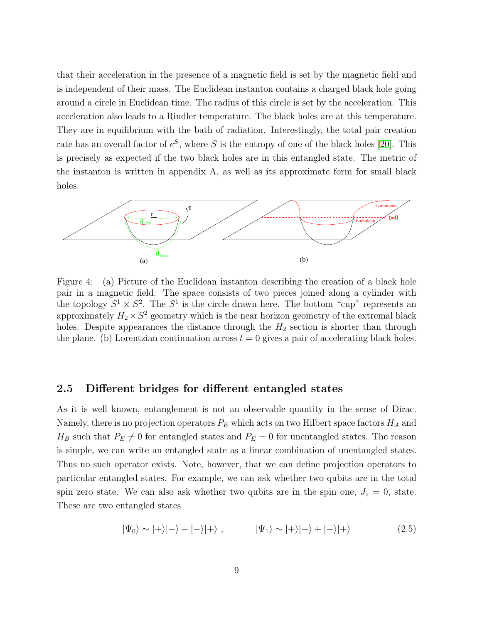that their acceleration in the presence of a magnetic field is set by the magnetic field and is independent of their mass. The Euclidean instanton contains a charged black hole going around a circle in Euclidean time. The radius of this circle is set by the acceleration. This acceleration also leads to a Rindler temperature. The black holes are at this temperature. They are in equilibrium with the bath of radiation. Interestingly, the total pair creation rate has an overall factor of  $e^S$ , where S is the entropy of one of the black holes [\[20\]](#page-47-6). This is precisely as expected if the two black holes are in this entangled state. The metric of the instanton is written in appendix A, as well as its approximate form for small black holes.



<span id="page-9-1"></span>Figure 4: (a) Picture of the Euclidean instanton describing the creation of a black hole pair in a magnetic field. The space consists of two pieces joined along a cylinder with the topology  $S^1 \times S^2$ . The  $S^1$  is the circle drawn here. The bottom "cup" represents an approximately  $H_2 \times S^2$  geometry which is the near horizon geometry of the extremal black holes. Despite appearances the distance through the  $H_2$  section is shorter than through the plane. (b) Lorentzian continuation across  $t = 0$  gives a pair of accelerating black holes.

#### <span id="page-9-0"></span>2.5 Different bridges for different entangled states

As it is well known, entanglement is not an observable quantity in the sense of Dirac. Namely, there is no projection operators  $P_E$  which acts on two Hilbert space factors  $H_A$  and  $H_B$  such that  $P_E \neq 0$  for entangled states and  $P_E = 0$  for unentangled states. The reason is simple, we can write an entangled state as a linear combination of unentangled states. Thus no such operator exists. Note, however, that we can define projection operators to particular entangled states. For example, we can ask whether two qubits are in the total spin zero state. We can also ask whether two qubits are in the spin one,  $J_z = 0$ , state. These are two entangled states

$$
|\Psi_0\rangle \sim |+\rangle|-\rangle - |-\rangle|+\rangle , \qquad |\Psi_1\rangle \sim |+\rangle|-\rangle + |-\rangle|+\rangle \qquad (2.5)
$$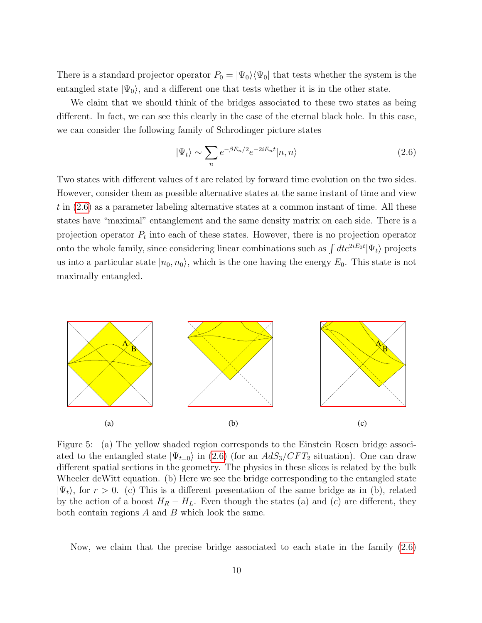There is a standard projector operator  $P_0 = |\Psi_0\rangle \langle \Psi_0|$  that tests whether the system is the entangled state  $|\Psi_0\rangle$ , and a different one that tests whether it is in the other state.

We claim that we should think of the bridges associated to these two states as being different. In fact, we can see this clearly in the case of the eternal black hole. In this case, we can consider the following family of Schrodinger picture states

<span id="page-10-0"></span>
$$
|\Psi_t\rangle \sim \sum_n e^{-\beta E_n/2} e^{-2iE_n t} |n, n\rangle \tag{2.6}
$$

Two states with different values of t are related by forward time evolution on the two sides. However, consider them as possible alternative states at the same instant of time and view  $t$  in  $(2.6)$  as a parameter labeling alternative states at a common instant of time. All these states have "maximal" entanglement and the same density matrix on each side. There is a projection operator  $P_t$  into each of these states. However, there is no projection operator onto the whole family, since considering linear combinations such as  $\int dt e^{2iE_0t} |\Psi_t\rangle$  projects us into a particular state  $|n_0, n_0\rangle$ , which is the one having the energy  $E_0$ . This state is not maximally entangled.



<span id="page-10-1"></span>Figure 5: (a) The yellow shaded region corresponds to the Einstein Rosen bridge associated to the entangled state  $|\Psi_{t=0}\rangle$  in [\(2.6\)](#page-10-0) (for an  $AdS_3/CFT_2$  situation). One can draw different spatial sections in the geometry. The physics in these slices is related by the bulk Wheeler deWitt equation. (b) Here we see the bridge corresponding to the entangled state  $|\Psi_t\rangle$ , for  $r > 0$ . (c) This is a different presentation of the same bridge as in (b), related by the action of a boost  $H_R - H_L$ . Even though the states (a) and (c) are different, they both contain regions  $A$  and  $B$  which look the same.

Now, we claim that the precise bridge associated to each state in the family [\(2.6\)](#page-10-0)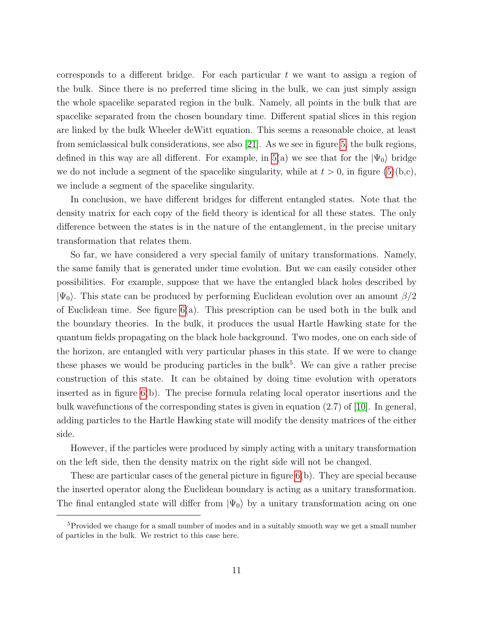corresponds to a different bridge. For each particular  $t$  we want to assign a region of the bulk. Since there is no preferred time slicing in the bulk, we can just simply assign the whole spacelike separated region in the bulk. Namely, all points in the bulk that are spacelike separated from the chosen boundary time. Different spatial slices in this region are linked by the bulk Wheeler deWitt equation. This seems a reasonable choice, at least from semiclassical bulk considerations, see also [\[21\]](#page-47-7). As we see in figure [5,](#page-10-1) the bulk regions, defined in this way are all different. For example, in  $5(a)$  we see that for the  $|\Psi_0\rangle$  bridge we do not include a segment of the spacelike singularity, while at  $t > 0$ , in figure [\(5\)](#page-10-1)(b,c), we include a segment of the spacelike singularity.

In conclusion, we have different bridges for different entangled states. Note that the density matrix for each copy of the field theory is identical for all these states. The only difference between the states is in the nature of the entanglement, in the precise unitary transformation that relates them.

So far, we have considered a very special family of unitary transformations. Namely, the same family that is generated under time evolution. But we can easily consider other possibilities. For example, suppose that we have the entangled black holes described by  $|\Psi_0\rangle$ . This state can be produced by performing Euclidean evolution over an amount  $\beta/2$ of Euclidean time. See figure [6\(](#page-12-1)a). This prescription can be used both in the bulk and the boundary theories. In the bulk, it produces the usual Hartle Hawking state for the quantum fields propagating on the black hole background. Two modes, one on each side of the horizon, are entangled with very particular phases in this state. If we were to change these phases we would be producing particles in the bulk<sup>5</sup>. We can give a rather precise construction of this state. It can be obtained by doing time evolution with operators inserted as in figure [6\(](#page-12-1)b). The precise formula relating local operator insertions and the bulk wavefunctions of the corresponding states is given in equation  $(2.7)$  of [\[10\]](#page-46-6). In general, adding particles to the Hartle Hawking state will modify the density matrices of the either side.

However, if the particles were produced by simply acting with a unitary transformation on the left side, then the density matrix on the right side will not be changed.

These are particular cases of the general picture in figure [6\(](#page-12-1)b). They are special because the inserted operator along the Euclidean boundary is acting as a unitary transformation. The final entangled state will differ from  $|\Psi_0\rangle$  by a unitary transformation acing on one

<sup>&</sup>lt;sup>5</sup>Provided we change for a small number of modes and in a suitably smooth way we get a small number of particles in the bulk. We restrict to this case here.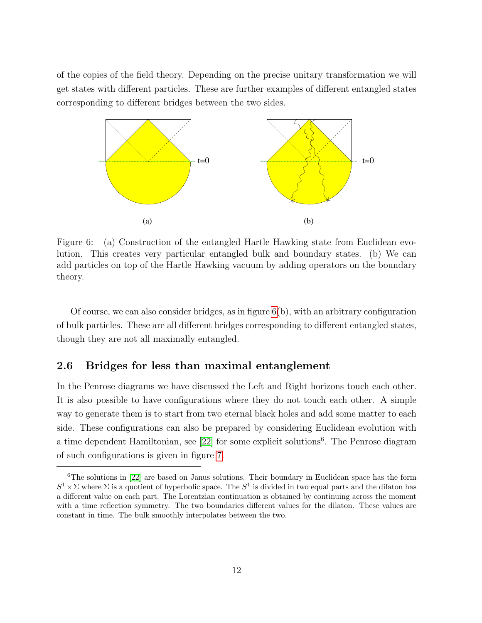of the copies of the field theory. Depending on the precise unitary transformation we will get states with different particles. These are further examples of different entangled states corresponding to different bridges between the two sides.



<span id="page-12-1"></span>Figure 6: (a) Construction of the entangled Hartle Hawking state from Euclidean evolution. This creates very particular entangled bulk and boundary states. (b) We can add particles on top of the Hartle Hawking vacuum by adding operators on the boundary theory.

Of course, we can also consider bridges, as in figure  $6(b)$ , with an arbitrary configuration of bulk particles. These are all different bridges corresponding to different entangled states, though they are not all maximally entangled.

#### <span id="page-12-0"></span>2.6 Bridges for less than maximal entanglement

In the Penrose diagrams we have discussed the Left and Right horizons touch each other. It is also possible to have configurations where they do not touch each other. A simple way to generate them is to start from two eternal black holes and add some matter to each side. These configurations can also be prepared by considering Euclidean evolution with a time dependent Hamiltonian, see [\[22\]](#page-47-8) for some explicit solutions<sup>6</sup>. The Penrose diagram of such configurations is given in figure [7.](#page-13-1)

<sup>&</sup>lt;sup>6</sup>The solutions in [\[22\]](#page-47-8) are based on Janus solutions. Their boundary in Euclidean space has the form  $S^1 \times \Sigma$  where  $\Sigma$  is a quotient of hyperbolic space. The  $S^1$  is divided in two equal parts and the dilaton has a different value on each part. The Lorentzian continuation is obtained by continuing across the moment with a time reflection symmetry. The two boundaries different values for the dilaton. These values are constant in time. The bulk smoothly interpolates between the two.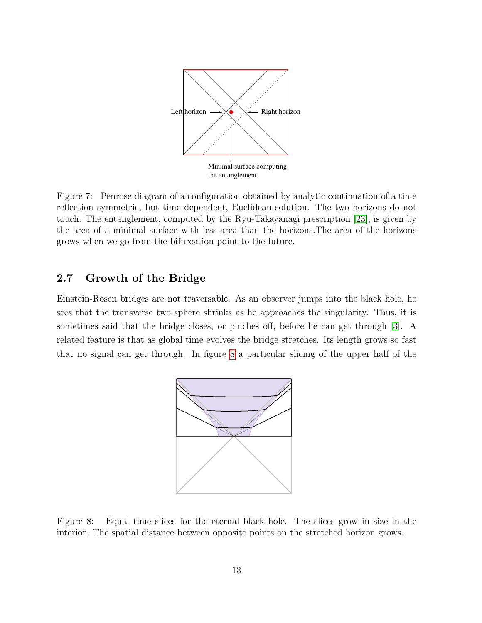

<span id="page-13-1"></span>Figure 7: Penrose diagram of a configuration obtained by analytic continuation of a time reflection symmetric, but time dependent, Euclidean solution. The two horizons do not touch. The entanglement, computed by the Ryu-Takayanagi prescription [\[23\]](#page-47-9), is given by the area of a minimal surface with less area than the horizons.The area of the horizons grows when we go from the bifurcation point to the future.

### <span id="page-13-0"></span>2.7 Growth of the Bridge

Einstein-Rosen bridges are not traversable. As an observer jumps into the black hole, he sees that the transverse two sphere shrinks as he approaches the singularity. Thus, it is sometimes said that the bridge closes, or pinches off, before he can get through [\[3\]](#page-46-2). A related feature is that as global time evolves the bridge stretches. Its length grows so fast that no signal can get through. In figure [8](#page-13-2) a particular slicing of the upper half of the



<span id="page-13-2"></span>Figure 8: Equal time slices for the eternal black hole. The slices grow in size in the interior. The spatial distance between opposite points on the stretched horizon grows.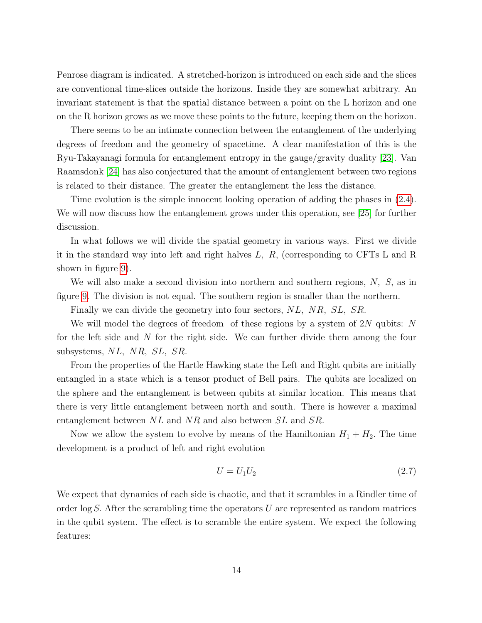Penrose diagram is indicated. A stretched-horizon is introduced on each side and the slices are conventional time-slices outside the horizons. Inside they are somewhat arbitrary. An invariant statement is that the spatial distance between a point on the L horizon and one on the R horizon grows as we move these points to the future, keeping them on the horizon.

There seems to be an intimate connection between the entanglement of the underlying degrees of freedom and the geometry of spacetime. A clear manifestation of this is the Ryu-Takayanagi formula for entanglement entropy in the gauge/gravity duality [\[23\]](#page-47-9). Van Raamsdonk [\[24\]](#page-47-10) has also conjectured that the amount of entanglement between two regions is related to their distance. The greater the entanglement the less the distance.

Time evolution is the simple innocent looking operation of adding the phases in [\(2.4\)](#page-5-0). We will now discuss how the entanglement grows under this operation, see [\[25\]](#page-47-11) for further discussion.

In what follows we will divide the spatial geometry in various ways. First we divide it in the standard way into left and right halves L, R, (corresponding to CFTs L and R shown in figure [9\)](#page-15-1).

We will also make a second division into northern and southern regions, N, S, as in figure [9.](#page-15-1) The division is not equal. The southern region is smaller than the northern.

Finally we can divide the geometry into four sectors, NL, NR, SL, SR.

We will model the degrees of freedom of these regions by a system of 2N qubits: N for the left side and N for the right side. We can further divide them among the four subsystems, NL, NR, SL, SR.

From the properties of the Hartle Hawking state the Left and Right qubits are initially entangled in a state which is a tensor product of Bell pairs. The qubits are localized on the sphere and the entanglement is between qubits at similar location. This means that there is very little entanglement between north and south. There is however a maximal entanglement between  $NL$  and  $NR$  and also between  $SL$  and  $SR$ .

Now we allow the system to evolve by means of the Hamiltonian  $H_1 + H_2$ . The time development is a product of left and right evolution

$$
U = U_1 U_2 \tag{2.7}
$$

We expect that dynamics of each side is chaotic, and that it scrambles in a Rindler time of order  $\log S$ . After the scrambling time the operators U are represented as random matrices in the qubit system. The effect is to scramble the entire system. We expect the following features: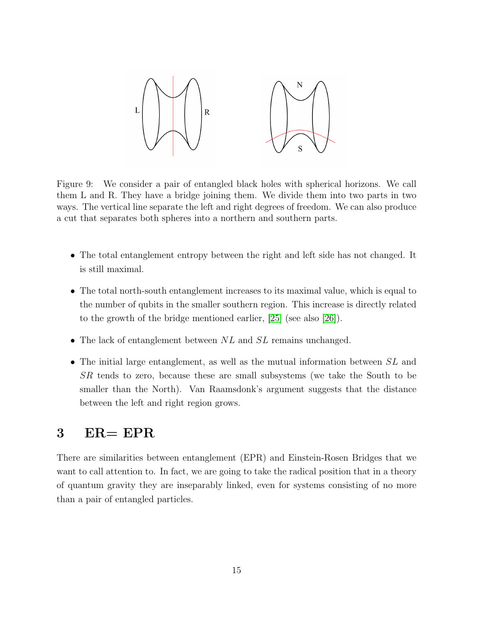

<span id="page-15-1"></span>Figure 9: We consider a pair of entangled black holes with spherical horizons. We call them L and R. They have a bridge joining them. We divide them into two parts in two ways. The vertical line separate the left and right degrees of freedom. We can also produce a cut that separates both spheres into a northern and southern parts.

- The total entanglement entropy between the right and left side has not changed. It is still maximal.
- The total north-south entanglement increases to its maximal value, which is equal to the number of qubits in the smaller southern region. This increase is directly related to the growth of the bridge mentioned earlier, [\[25\]](#page-47-11) (see also [\[26\]](#page-47-12)).
- The lack of entanglement between  $NL$  and  $SL$  remains unchanged.
- The initial large entanglement, as well as the mutual information between  $SL$  and SR tends to zero, because these are small subsystems (we take the South to be smaller than the North). Van Raamsdonk's argument suggests that the distance between the left and right region grows.

### <span id="page-15-0"></span>3 ER= EPR

There are similarities between entanglement (EPR) and Einstein-Rosen Bridges that we want to call attention to. In fact, we are going to take the radical position that in a theory of quantum gravity they are inseparably linked, even for systems consisting of no more than a pair of entangled particles.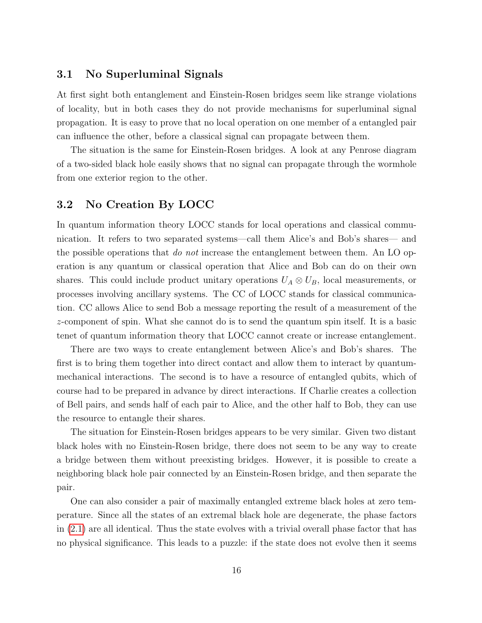#### <span id="page-16-0"></span>3.1 No Superluminal Signals

At first sight both entanglement and Einstein-Rosen bridges seem like strange violations of locality, but in both cases they do not provide mechanisms for superluminal signal propagation. It is easy to prove that no local operation on one member of a entangled pair can influence the other, before a classical signal can propagate between them.

The situation is the same for Einstein-Rosen bridges. A look at any Penrose diagram of a two-sided black hole easily shows that no signal can propagate through the wormhole from one exterior region to the other.

### <span id="page-16-1"></span>3.2 No Creation By LOCC

In quantum information theory LOCC stands for local operations and classical communication. It refers to two separated systems—call them Alice's and Bob's shares— and the possible operations that do not increase the entanglement between them. An LO operation is any quantum or classical operation that Alice and Bob can do on their own shares. This could include product unitary operations  $U_A \otimes U_B$ , local measurements, or processes involving ancillary systems. The CC of LOCC stands for classical communication. CC allows Alice to send Bob a message reporting the result of a measurement of the z-component of spin. What she cannot do is to send the quantum spin itself. It is a basic tenet of quantum information theory that LOCC cannot create or increase entanglement.

There are two ways to create entanglement between Alice's and Bob's shares. The first is to bring them together into direct contact and allow them to interact by quantummechanical interactions. The second is to have a resource of entangled qubits, which of course had to be prepared in advance by direct interactions. If Charlie creates a collection of Bell pairs, and sends half of each pair to Alice, and the other half to Bob, they can use the resource to entangle their shares.

The situation for Einstein-Rosen bridges appears to be very similar. Given two distant black holes with no Einstein-Rosen bridge, there does not seem to be any way to create a bridge between them without preexisting bridges. However, it is possible to create a neighboring black hole pair connected by an Einstein-Rosen bridge, and then separate the pair.

One can also consider a pair of maximally entangled extreme black holes at zero temperature. Since all the states of an extremal black hole are degenerate, the phase factors in [\(2.1\)](#page-4-2) are all identical. Thus the state evolves with a trivial overall phase factor that has no physical significance. This leads to a puzzle: if the state does not evolve then it seems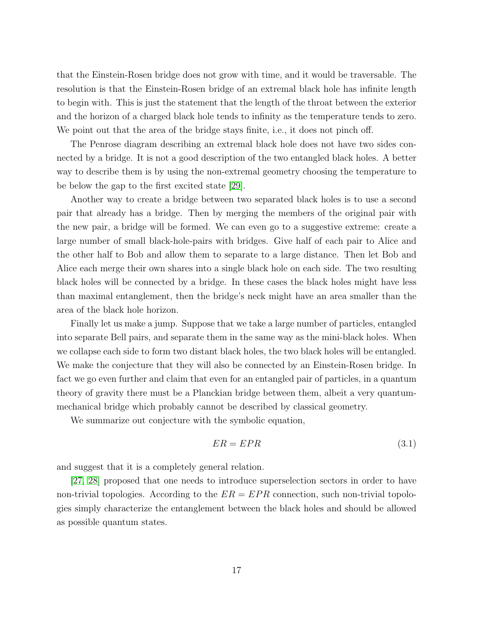that the Einstein-Rosen bridge does not grow with time, and it would be traversable. The resolution is that the Einstein-Rosen bridge of an extremal black hole has infinite length to begin with. This is just the statement that the length of the throat between the exterior and the horizon of a charged black hole tends to infinity as the temperature tends to zero. We point out that the area of the bridge stays finite, i.e., it does not pinch off.

The Penrose diagram describing an extremal black hole does not have two sides connected by a bridge. It is not a good description of the two entangled black holes. A better way to describe them is by using the non-extremal geometry choosing the temperature to be below the gap to the first excited state [\[29\]](#page-48-0).

Another way to create a bridge between two separated black holes is to use a second pair that already has a bridge. Then by merging the members of the original pair with the new pair, a bridge will be formed. We can even go to a suggestive extreme: create a large number of small black-hole-pairs with bridges. Give half of each pair to Alice and the other half to Bob and allow them to separate to a large distance. Then let Bob and Alice each merge their own shares into a single black hole on each side. The two resulting black holes will be connected by a bridge. In these cases the black holes might have less than maximal entanglement, then the bridge's neck might have an area smaller than the area of the black hole horizon.

Finally let us make a jump. Suppose that we take a large number of particles, entangled into separate Bell pairs, and separate them in the same way as the mini-black holes. When we collapse each side to form two distant black holes, the two black holes will be entangled. We make the conjecture that they will also be connected by an Einstein-Rosen bridge. In fact we go even further and claim that even for an entangled pair of particles, in a quantum theory of gravity there must be a Planckian bridge between them, albeit a very quantummechanical bridge which probably cannot be described by classical geometry.

We summarize out conjecture with the symbolic equation,

$$
ER = EPR \tag{3.1}
$$

and suggest that it is a completely general relation.

[\[27,](#page-48-1) [28\]](#page-48-2) proposed that one needs to introduce superselection sectors in order to have non-trivial topologies. According to the  $ER = EPR$  connection, such non-trivial topologies simply characterize the entanglement between the black holes and should be allowed as possible quantum states.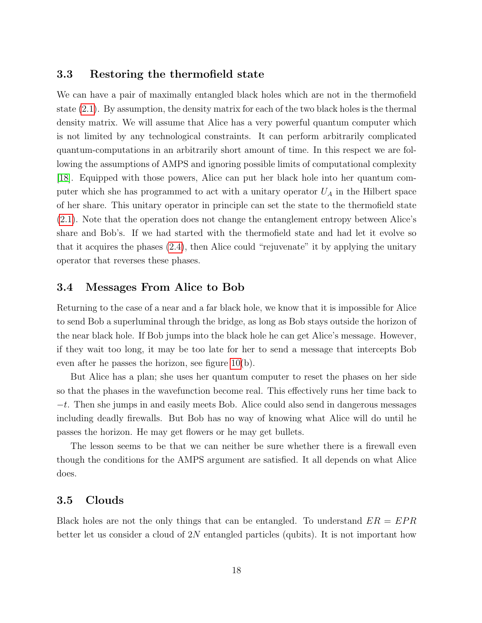#### <span id="page-18-0"></span>3.3 Restoring the thermofield state

We can have a pair of maximally entangled black holes which are not in the thermofield state [\(2.1\)](#page-4-2). By assumption, the density matrix for each of the two black holes is the thermal density matrix. We will assume that Alice has a very powerful quantum computer which is not limited by any technological constraints. It can perform arbitrarily complicated quantum-computations in an arbitrarily short amount of time. In this respect we are following the assumptions of AMPS and ignoring possible limits of computational complexity [\[18\]](#page-47-4). Equipped with those powers, Alice can put her black hole into her quantum computer which she has programmed to act with a unitary operator  $U_A$  in the Hilbert space of her share. This unitary operator in principle can set the state to the thermofield state [\(2.1\)](#page-4-2). Note that the operation does not change the entanglement entropy between Alice's share and Bob's. If we had started with the thermofield state and had let it evolve so that it acquires the phases [\(2.4\)](#page-5-0), then Alice could "rejuvenate" it by applying the unitary operator that reverses these phases.

#### <span id="page-18-1"></span>3.4 Messages From Alice to Bob

Returning to the case of a near and a far black hole, we know that it is impossible for Alice to send Bob a superluminal through the bridge, as long as Bob stays outside the horizon of the near black hole. If Bob jumps into the black hole he can get Alice's message. However, if they wait too long, it may be too late for her to send a message that intercepts Bob even after he passes the horizon, see figure [10\(](#page-19-0)b).

But Alice has a plan; she uses her quantum computer to reset the phases on her side so that the phases in the wavefunction become real. This effectively runs her time back to  $-t$ . Then she jumps in and easily meets Bob. Alice could also send in dangerous messages including deadly firewalls. But Bob has no way of knowing what Alice will do until he passes the horizon. He may get flowers or he may get bullets.

The lesson seems to be that we can neither be sure whether there is a firewall even though the conditions for the AMPS argument are satisfied. It all depends on what Alice does.

#### <span id="page-18-2"></span>3.5 Clouds

Black holes are not the only things that can be entangled. To understand  $ER = EPR$ better let us consider a cloud of 2N entangled particles (qubits). It is not important how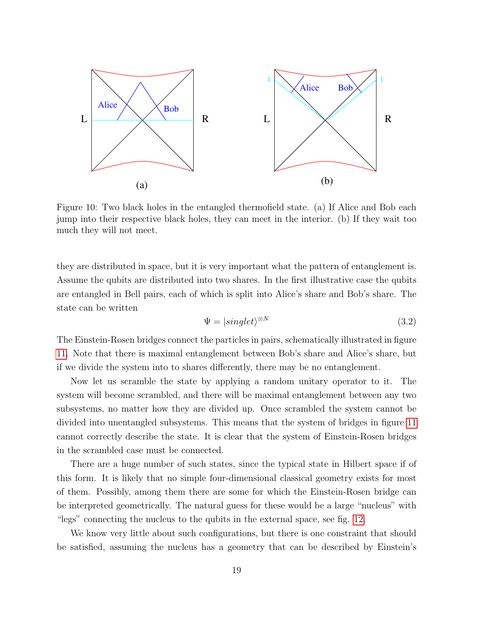

<span id="page-19-0"></span>Figure 10: Two black holes in the entangled thermofield state. (a) If Alice and Bob each jump into their respective black holes, they can meet in the interior. (b) If they wait too much they will not meet.

they are distributed in space, but it is very important what the pattern of entanglement is. Assume the qubits are distributed into two shares. In the first illustrative case the qubits are entangled in Bell pairs, each of which is split into Alice's share and Bob's share. The state can be written

$$
\Psi = |singlet\rangle^{\otimes N} \tag{3.2}
$$

The Einstein-Rosen bridges connect the particles in pairs, schematically illustrated in figure [11.](#page-20-0) Note that there is maximal entanglement between Bob's share and Alice's share, but if we divide the system into to shares differently, there may be no entanglement.

Now let us scramble the state by applying a random unitary operator to it. The system will become scrambled, and there will be maximal entanglement between any two subsystems, no matter how they are divided up. Once scrambled the system cannot be divided into unentangled subsystems. This means that the system of bridges in figure [11](#page-20-0) cannot correctly describe the state. It is clear that the system of Einstein-Rosen bridges in the scrambled case must be connected.

There are a huge number of such states, since the typical state in Hilbert space if of this form. It is likely that no simple four-dimensional classical geometry exists for most of them. Possibly, among them there are some for which the Einstein-Rosen bridge can be interpreted geometrically. The natural guess for these would be a large "nucleus" with "legs" connecting the nucleus to the qubits in the external space, see fig. [12.](#page-20-1)

We know very little about such configurations, but there is one constraint that should be satisfied, assuming the nucleus has a geometry that can be described by Einstein's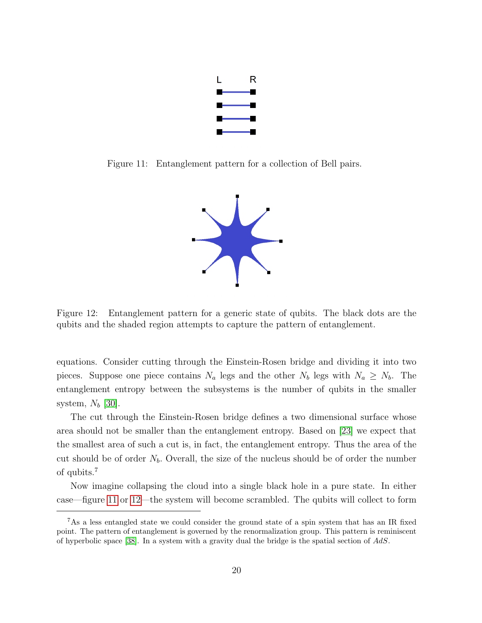

<span id="page-20-0"></span>Figure 11: Entanglement pattern for a collection of Bell pairs.



<span id="page-20-1"></span>Figure 12: Entanglement pattern for a generic state of qubits. The black dots are the qubits and the shaded region attempts to capture the pattern of entanglement.

equations. Consider cutting through the Einstein-Rosen bridge and dividing it into two pieces. Suppose one piece contains  $N_a$  legs and the other  $N_b$  legs with  $N_a \ge N_b$ . The entanglement entropy between the subsystems is the number of qubits in the smaller system,  $N_b$  [\[30\]](#page-48-3).

The cut through the Einstein-Rosen bridge defines a two dimensional surface whose area should not be smaller than the entanglement entropy. Based on [\[23\]](#page-47-9) we expect that the smallest area of such a cut is, in fact, the entanglement entropy. Thus the area of the cut should be of order  $N_b$ . Overall, the size of the nucleus should be of order the number of qubits.<sup>7</sup>

Now imagine collapsing the cloud into a single black hole in a pure state. In either case—figure [11](#page-20-0) or [12—](#page-20-1)the system will become scrambled. The qubits will collect to form

<sup>7</sup>As a less entangled state we could consider the ground state of a spin system that has an IR fixed point. The pattern of entanglement is governed by the renormalization group. This pattern is reminiscent of hyperbolic space [\[38\]](#page-48-4). In a system with a gravity dual the bridge is the spatial section of AdS.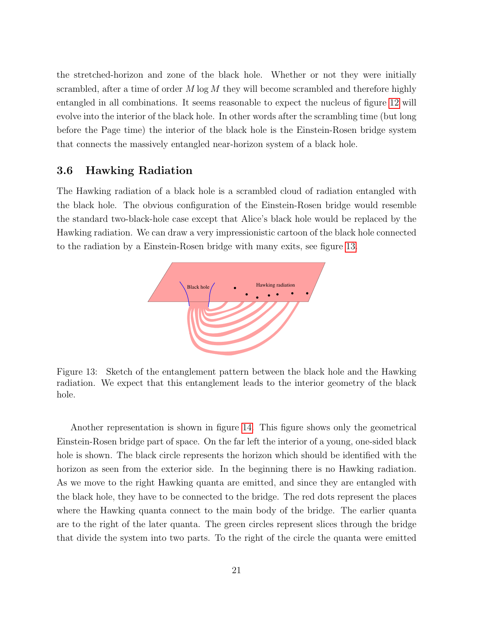the stretched-horizon and zone of the black hole. Whether or not they were initially scrambled, after a time of order  $M \log M$  they will become scrambled and therefore highly entangled in all combinations. It seems reasonable to expect the nucleus of figure [12](#page-20-1) will evolve into the interior of the black hole. In other words after the scrambling time (but long before the Page time) the interior of the black hole is the Einstein-Rosen bridge system that connects the massively entangled near-horizon system of a black hole.

#### <span id="page-21-0"></span>3.6 Hawking Radiation

The Hawking radiation of a black hole is a scrambled cloud of radiation entangled with the black hole. The obvious configuration of the Einstein-Rosen bridge would resemble the standard two-black-hole case except that Alice's black hole would be replaced by the Hawking radiation. We can draw a very impressionistic cartoon of the black hole connected to the radiation by a Einstein-Rosen bridge with many exits, see figure [13.](#page-21-1)



<span id="page-21-1"></span>Figure 13: Sketch of the entanglement pattern between the black hole and the Hawking radiation. We expect that this entanglement leads to the interior geometry of the black hole.

Another representation is shown in figure [14.](#page-22-2) This figure shows only the geometrical Einstein-Rosen bridge part of space. On the far left the interior of a young, one-sided black hole is shown. The black circle represents the horizon which should be identified with the horizon as seen from the exterior side. In the beginning there is no Hawking radiation. As we move to the right Hawking quanta are emitted, and since they are entangled with the black hole, they have to be connected to the bridge. The red dots represent the places where the Hawking quanta connect to the main body of the bridge. The earlier quanta are to the right of the later quanta. The green circles represent slices through the bridge that divide the system into two parts. To the right of the circle the quanta were emitted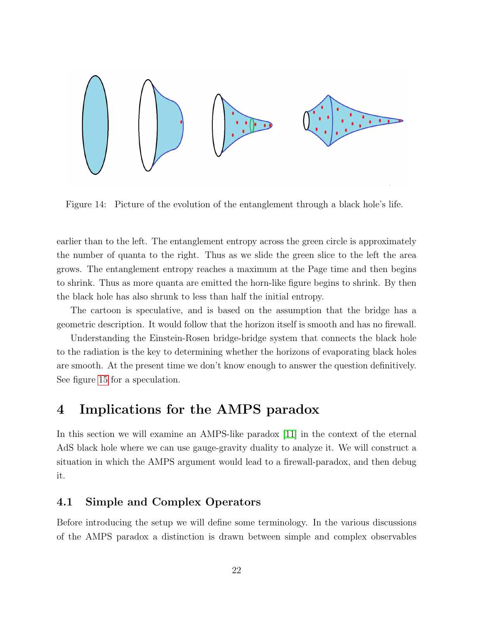

<span id="page-22-2"></span>Figure 14: Picture of the evolution of the entanglement through a black hole's life.

earlier than to the left. The entanglement entropy across the green circle is approximately the number of quanta to the right. Thus as we slide the green slice to the left the area grows. The entanglement entropy reaches a maximum at the Page time and then begins to shrink. Thus as more quanta are emitted the horn-like figure begins to shrink. By then the black hole has also shrunk to less than half the initial entropy.

The cartoon is speculative, and is based on the assumption that the bridge has a geometric description. It would follow that the horizon itself is smooth and has no firewall.

Understanding the Einstein-Rosen bridge-bridge system that connects the black hole to the radiation is the key to determining whether the horizons of evaporating black holes are smooth. At the present time we don't know enough to answer the question definitively. See figure [15](#page-23-0) for a speculation.

### <span id="page-22-0"></span>4 Implications for the AMPS paradox

In this section we will examine an AMPS-like paradox [\[11\]](#page-46-7) in the context of the eternal AdS black hole where we can use gauge-gravity duality to analyze it. We will construct a situation in which the AMPS argument would lead to a firewall-paradox, and then debug it.

#### <span id="page-22-1"></span>4.1 Simple and Complex Operators

Before introducing the setup we will define some terminology. In the various discussions of the AMPS paradox a distinction is drawn between simple and complex observables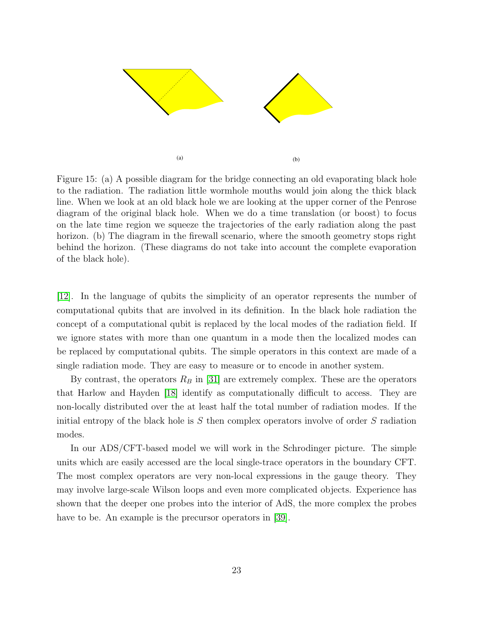

<span id="page-23-0"></span>Figure 15: (a) A possible diagram for the bridge connecting an old evaporating black hole to the radiation. The radiation little wormhole mouths would join along the thick black line. When we look at an old black hole we are looking at the upper corner of the Penrose diagram of the original black hole. When we do a time translation (or boost) to focus on the late time region we squeeze the trajectories of the early radiation along the past horizon. (b) The diagram in the firewall scenario, where the smooth geometry stops right behind the horizon. (These diagrams do not take into account the complete evaporation of the black hole).

[\[12\]](#page-46-8). In the language of qubits the simplicity of an operator represents the number of computational qubits that are involved in its definition. In the black hole radiation the concept of a computational qubit is replaced by the local modes of the radiation field. If we ignore states with more than one quantum in a mode then the localized modes can be replaced by computational qubits. The simple operators in this context are made of a single radiation mode. They are easy to measure or to encode in another system.

By contrast, the operators  $R_B$  in [\[31\]](#page-48-5) are extremely complex. These are the operators that Harlow and Hayden [\[18\]](#page-47-4) identify as computationally difficult to access. They are non-locally distributed over the at least half the total number of radiation modes. If the initial entropy of the black hole is  $S$  then complex operators involve of order  $S$  radiation modes.

In our ADS/CFT-based model we will work in the Schrodinger picture. The simple units which are easily accessed are the local single-trace operators in the boundary CFT. The most complex operators are very non-local expressions in the gauge theory. They may involve large-scale Wilson loops and even more complicated objects. Experience has shown that the deeper one probes into the interior of AdS, the more complex the probes have to be. An example is the precursor operators in [\[39\]](#page-48-6).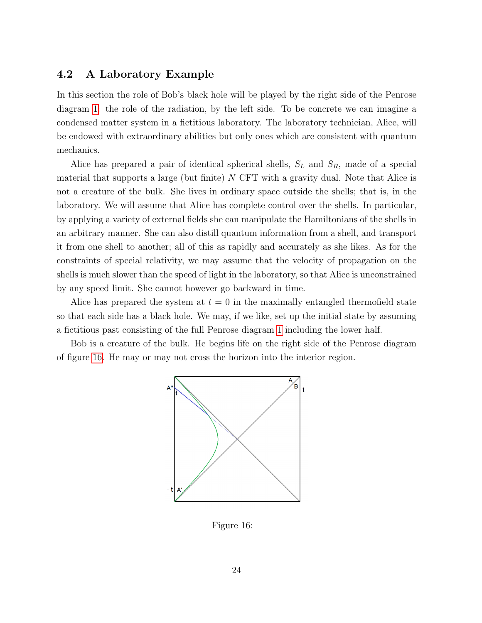#### <span id="page-24-0"></span>4.2 A Laboratory Example

In this section the role of Bob's black hole will be played by the right side of the Penrose diagram [1:](#page-4-0) the role of the radiation, by the left side. To be concrete we can imagine a condensed matter system in a fictitious laboratory. The laboratory technician, Alice, will be endowed with extraordinary abilities but only ones which are consistent with quantum mechanics.

Alice has prepared a pair of identical spherical shells,  $S_L$  and  $S_R$ , made of a special material that supports a large (but finite)  $N$  CFT with a gravity dual. Note that Alice is not a creature of the bulk. She lives in ordinary space outside the shells; that is, in the laboratory. We will assume that Alice has complete control over the shells. In particular, by applying a variety of external fields she can manipulate the Hamiltonians of the shells in an arbitrary manner. She can also distill quantum information from a shell, and transport it from one shell to another; all of this as rapidly and accurately as she likes. As for the constraints of special relativity, we may assume that the velocity of propagation on the shells is much slower than the speed of light in the laboratory, so that Alice is unconstrained by any speed limit. She cannot however go backward in time.

Alice has prepared the system at  $t = 0$  in the maximally entangled thermofield state so that each side has a black hole. We may, if we like, set up the initial state by assuming a fictitious past consisting of the full Penrose diagram [1](#page-4-0) including the lower half.

Bob is a creature of the bulk. He begins life on the right side of the Penrose diagram of figure [16.](#page-24-1) He may or may not cross the horizon into the interior region.



<span id="page-24-1"></span>Figure 16: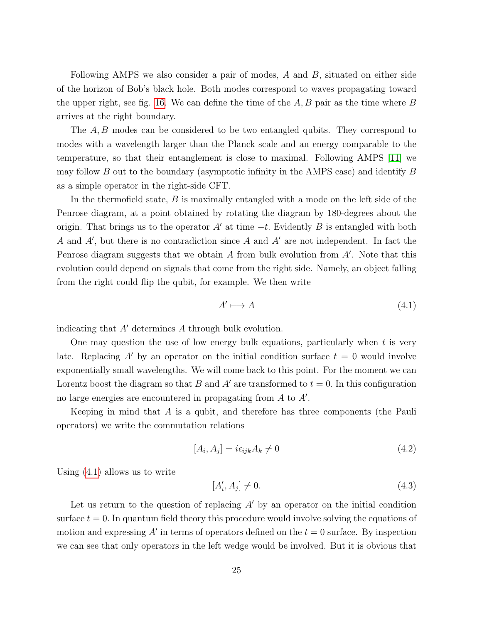Following AMPS we also consider a pair of modes,  $A$  and  $B$ , situated on either side of the horizon of Bob's black hole. Both modes correspond to waves propagating toward the upper right, see fig. [16.](#page-24-1) We can define the time of the  $A, B$  pair as the time where  $B$ arrives at the right boundary.

The A, B modes can be considered to be two entangled qubits. They correspond to modes with a wavelength larger than the Planck scale and an energy comparable to the temperature, so that their entanglement is close to maximal. Following AMPS [\[11\]](#page-46-7) we may follow B out to the boundary (asymptotic infinity in the AMPS case) and identify B as a simple operator in the right-side CFT.

In the thermofield state, B is maximally entangled with a mode on the left side of the Penrose diagram, at a point obtained by rotating the diagram by 180-degrees about the origin. That brings us to the operator A' at time  $-t$ . Evidently B is entangled with both A and  $A'$ , but there is no contradiction since A and  $A'$  are not independent. In fact the Penrose diagram suggests that we obtain  $A$  from bulk evolution from  $A'$ . Note that this evolution could depend on signals that come from the right side. Namely, an object falling from the right could flip the qubit, for example. We then write

<span id="page-25-0"></span>
$$
A' \longmapsto A \tag{4.1}
$$

indicating that  $A'$  determines  $A$  through bulk evolution.

One may question the use of low energy bulk equations, particularly when  $t$  is very late. Replacing A' by an operator on the initial condition surface  $t = 0$  would involve exponentially small wavelengths. We will come back to this point. For the moment we can Lorentz boost the diagram so that B and A' are transformed to  $t = 0$ . In this configuration no large energies are encountered in propagating from  $A$  to  $A'$ .

Keeping in mind that A is a qubit, and therefore has three components (the Pauli operators) we write the commutation relations

<span id="page-25-1"></span>
$$
[A_i, A_j] = i\epsilon_{ijk}A_k \neq 0\tag{4.2}
$$

Using [\(4.1\)](#page-25-0) allows us to write

$$
[A'_i, A_j] \neq 0. \tag{4.3}
$$

Let us return to the question of replacing  $A'$  by an operator on the initial condition surface  $t = 0$ . In quantum field theory this procedure would involve solving the equations of motion and expressing  $A'$  in terms of operators defined on the  $t = 0$  surface. By inspection we can see that only operators in the left wedge would be involved. But it is obvious that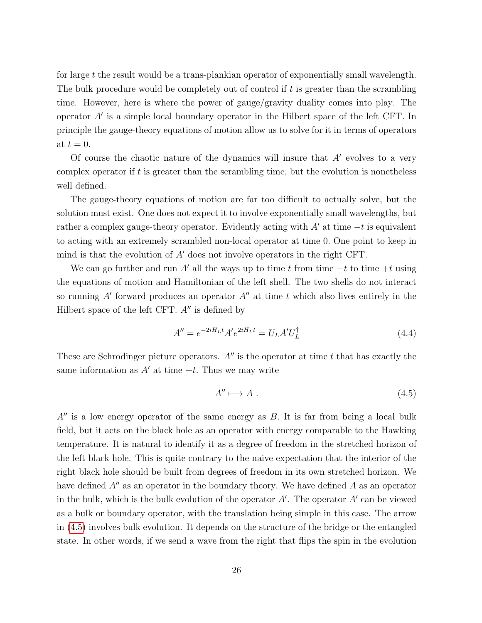for large t the result would be a trans-plankian operator of exponentially small wavelength. The bulk procedure would be completely out of control if t is greater than the scrambling time. However, here is where the power of gauge/gravity duality comes into play. The operator  $A'$  is a simple local boundary operator in the Hilbert space of the left CFT. In principle the gauge-theory equations of motion allow us to solve for it in terms of operators at  $t = 0$ .

Of course the chaotic nature of the dynamics will insure that  $A'$  evolves to a very complex operator if  $t$  is greater than the scrambling time, but the evolution is nonetheless well defined.

The gauge-theory equations of motion are far too difficult to actually solve, but the solution must exist. One does not expect it to involve exponentially small wavelengths, but rather a complex gauge-theory operator. Evidently acting with A' at time  $-t$  is equivalent to acting with an extremely scrambled non-local operator at time 0. One point to keep in mind is that the evolution of  $A'$  does not involve operators in the right CFT.

We can go further and run A' all the ways up to time t from time  $-t$  to time  $+t$  using the equations of motion and Hamiltonian of the left shell. The two shells do not interact so running  $A'$  forward produces an operator  $A''$  at time t which also lives entirely in the Hilbert space of the left CFT.  $A''$  is defined by

$$
A'' = e^{-2iH_Lt}A'e^{2iH_Lt} = U_LA'U_L^{\dagger}
$$
\n
$$
(4.4)
$$

These are Schrodinger picture operators.  $A''$  is the operator at time t that has exactly the same information as  $A'$  at time  $-t$ . Thus we may write

<span id="page-26-0"></span>
$$
A'' \longmapsto A \tag{4.5}
$$

 $A''$  is a low energy operator of the same energy as  $B$ . It is far from being a local bulk field, but it acts on the black hole as an operator with energy comparable to the Hawking temperature. It is natural to identify it as a degree of freedom in the stretched horizon of the left black hole. This is quite contrary to the naive expectation that the interior of the right black hole should be built from degrees of freedom in its own stretched horizon. We have defined  $A''$  as an operator in the boundary theory. We have defined A as an operator in the bulk, which is the bulk evolution of the operator  $A'$ . The operator  $A'$  can be viewed as a bulk or boundary operator, with the translation being simple in this case. The arrow in [\(4.5\)](#page-26-0) involves bulk evolution. It depends on the structure of the bridge or the entangled state. In other words, if we send a wave from the right that flips the spin in the evolution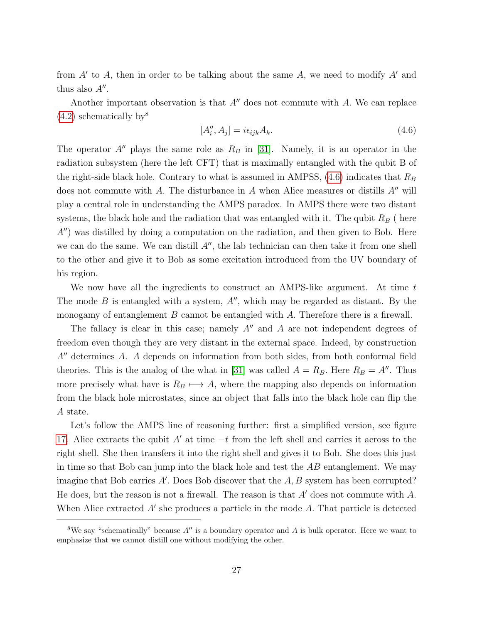from  $A'$  to  $A$ , then in order to be talking about the same  $A$ , we need to modify  $A'$  and thus also  $A''$ .

Another important observation is that  $A''$  does not commute with  $A$ . We can replace  $(4.2)$  schematically by<sup>8</sup>

<span id="page-27-0"></span>
$$
[A_i'', A_j] = i\epsilon_{ijk}A_k. \tag{4.6}
$$

The operator  $A''$  plays the same role as  $R_B$  in [\[31\]](#page-48-5). Namely, it is an operator in the radiation subsystem (here the left CFT) that is maximally entangled with the qubit B of the right-side black hole. Contrary to what is assumed in AMPSS,  $(4.6)$  indicates that  $R_B$ does not commute with  $A$ . The disturbance in  $A$  when Alice measures or distills  $A''$  will play a central role in understanding the AMPS paradox. In AMPS there were two distant systems, the black hole and the radiation that was entangled with it. The qubit  $R_B$  ( here  $A''$ ) was distilled by doing a computation on the radiation, and then given to Bob. Here we can do the same. We can distill  $A''$ , the lab technician can then take it from one shell to the other and give it to Bob as some excitation introduced from the UV boundary of his region.

We now have all the ingredients to construct an AMPS-like argument. At time  $t$ The mode  $B$  is entangled with a system,  $A''$ , which may be regarded as distant. By the monogamy of entanglement  $B$  cannot be entangled with  $A$ . Therefore there is a firewall.

The fallacy is clear in this case; namely  $A''$  and A are not independent degrees of freedom even though they are very distant in the external space. Indeed, by construction  $A''$  determines A. A depends on information from both sides, from both conformal field theories. This is the analog of the what in [\[31\]](#page-48-5) was called  $A = R_B$ . Here  $R_B = A''$ . Thus more precisely what have is  $R_B \mapsto A$ , where the mapping also depends on information from the black hole microstates, since an object that falls into the black hole can flip the A state.

Let's follow the AMPS line of reasoning further: first a simplified version, see figure [17.](#page-28-0) Alice extracts the qubit A' at time  $-t$  from the left shell and carries it across to the right shell. She then transfers it into the right shell and gives it to Bob. She does this just in time so that Bob can jump into the black hole and test the  $AB$  entanglement. We may imagine that Bob carries  $A'$ . Does Bob discover that the  $A, B$  system has been corrupted? He does, but the reason is not a firewall. The reason is that  $A'$  does not commute with  $A$ . When Alice extracted  $A'$  she produces a particle in the mode  $A$ . That particle is detected

<sup>&</sup>lt;sup>8</sup>We say "schematically" because  $A''$  is a boundary operator and A is bulk operator. Here we want to emphasize that we cannot distill one without modifying the other.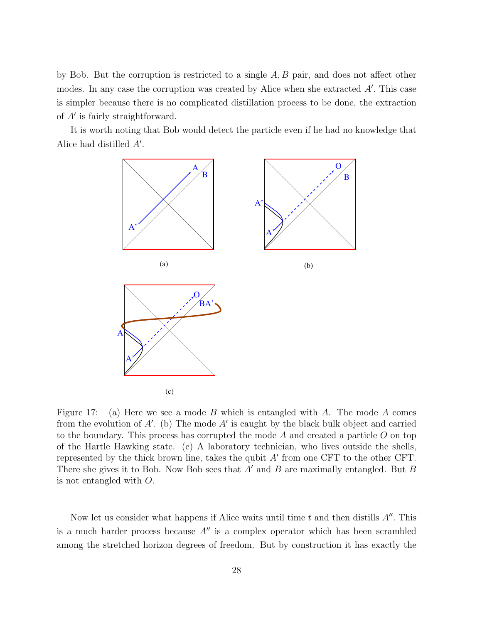by Bob. But the corruption is restricted to a single  $A, B$  pair, and does not affect other modes. In any case the corruption was created by Alice when she extracted  $A'$ . This case is simpler because there is no complicated distillation process to be done, the extraction of  $A'$  is fairly straightforward.

It is worth noting that Bob would detect the particle even if he had no knowledge that Alice had distilled  $A'$ .



<span id="page-28-0"></span>Figure 17: (a) Here we see a mode B which is entangled with A. The mode A comes from the evolution of  $A'$ . (b) The mode  $A'$  is caught by the black bulk object and carried to the boundary. This process has corrupted the mode  $A$  and created a particle  $O$  on top of the Hartle Hawking state. (c) A laboratory technician, who lives outside the shells, represented by the thick brown line, takes the qubit  $A'$  from one CFT to the other CFT. There she gives it to Bob. Now Bob sees that  $A'$  and  $B$  are maximally entangled. But  $B$ is not entangled with O.

Now let us consider what happens if Alice waits until time  $t$  and then distills  $A''$ . This is a much harder process because  $A''$  is a complex operator which has been scrambled among the stretched horizon degrees of freedom. But by construction it has exactly the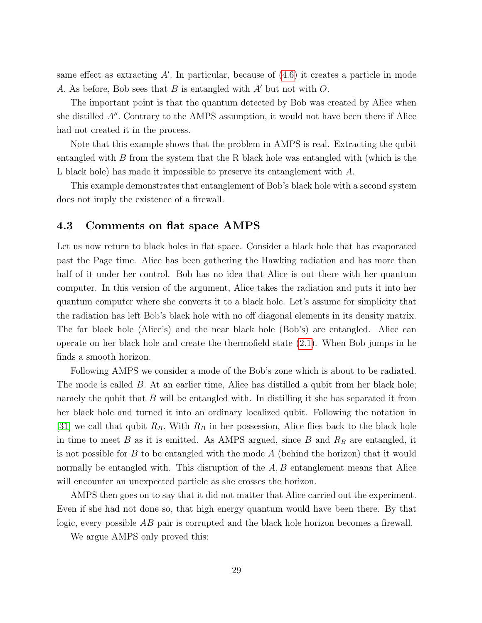same effect as extracting  $A'$ . In particular, because of  $(4.6)$  it creates a particle in mode A. As before, Bob sees that B is entangled with A' but not with  $O$ .

The important point is that the quantum detected by Bob was created by Alice when she distilled  $A''$ . Contrary to the AMPS assumption, it would not have been there if Alice had not created it in the process.

Note that this example shows that the problem in AMPS is real. Extracting the qubit entangled with  $B$  from the system that the R black hole was entangled with (which is the L black hole) has made it impossible to preserve its entanglement with A.

This example demonstrates that entanglement of Bob's black hole with a second system does not imply the existence of a firewall.

#### <span id="page-29-0"></span>4.3 Comments on flat space AMPS

Let us now return to black holes in flat space. Consider a black hole that has evaporated past the Page time. Alice has been gathering the Hawking radiation and has more than half of it under her control. Bob has no idea that Alice is out there with her quantum computer. In this version of the argument, Alice takes the radiation and puts it into her quantum computer where she converts it to a black hole. Let's assume for simplicity that the radiation has left Bob's black hole with no off diagonal elements in its density matrix. The far black hole (Alice's) and the near black hole (Bob's) are entangled. Alice can operate on her black hole and create the thermofield state [\(2.1\)](#page-4-2). When Bob jumps in he finds a smooth horizon.

Following AMPS we consider a mode of the Bob's zone which is about to be radiated. The mode is called B. At an earlier time, Alice has distilled a qubit from her black hole; namely the qubit that  $B$  will be entangled with. In distilling it she has separated it from her black hole and turned it into an ordinary localized qubit. Following the notation in [\[31\]](#page-48-5) we call that qubit  $R_B$ . With  $R_B$  in her possession, Alice flies back to the black hole in time to meet  $B$  as it is emitted. As AMPS argued, since  $B$  and  $R_B$  are entangled, it is not possible for  $B$  to be entangled with the mode  $A$  (behind the horizon) that it would normally be entangled with. This disruption of the  $A, B$  entanglement means that Alice will encounter an unexpected particle as she crosses the horizon.

AMPS then goes on to say that it did not matter that Alice carried out the experiment. Even if she had not done so, that high energy quantum would have been there. By that logic, every possible AB pair is corrupted and the black hole horizon becomes a firewall.

We argue AMPS only proved this: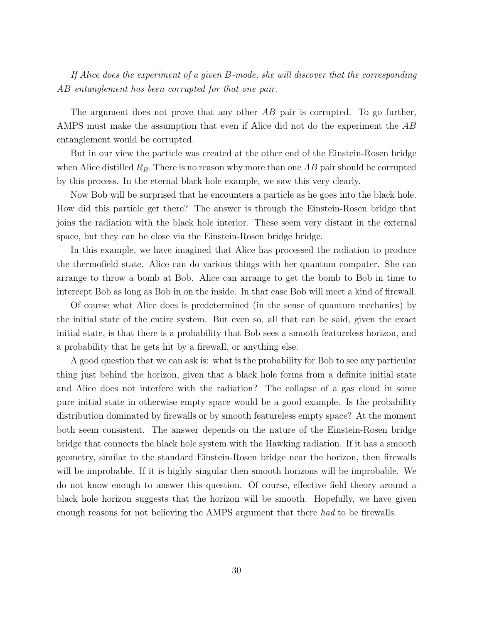If Alice does the experiment of a given B-mode, she will discover that the corresponding AB entanglement has been corrupted for that one pair.

The argument does not prove that any other  $AB$  pair is corrupted. To go further, AMPS must make the assumption that even if Alice did not do the experiment the AB entanglement would be corrupted.

But in our view the particle was created at the other end of the Einstein-Rosen bridge when Alice distilled  $R_B$ . There is no reason why more than one AB pair should be corrupted by this process. In the eternal black hole example, we saw this very clearly.

Now Bob will be surprised that he encounters a particle as he goes into the black hole. How did this particle get there? The answer is through the Einstein-Rosen bridge that joins the radiation with the black hole interior. These seem very distant in the external space, but they can be close via the Einstein-Rosen bridge bridge.

In this example, we have imagined that Alice has processed the radiation to produce the thermofield state. Alice can do various things with her quantum computer. She can arrange to throw a bomb at Bob. Alice can arrange to get the bomb to Bob in time to intercept Bob as long as Bob in on the inside. In that case Bob will meet a kind of firewall.

Of course what Alice does is predetermined (in the sense of quantum mechanics) by the initial state of the entire system. But even so, all that can be said, given the exact initial state, is that there is a probability that Bob sees a smooth featureless horizon, and a probability that he gets hit by a firewall, or anything else.

A good question that we can ask is: what is the probability for Bob to see any particular thing just behind the horizon, given that a black hole forms from a definite initial state and Alice does not interfere with the radiation? The collapse of a gas cloud in some pure initial state in otherwise empty space would be a good example. Is the probability distribution dominated by firewalls or by smooth featureless empty space? At the moment both seem consistent. The answer depends on the nature of the Einstein-Rosen bridge bridge that connects the black hole system with the Hawking radiation. If it has a smooth geometry, similar to the standard Einstein-Rosen bridge near the horizon, then firewalls will be improbable. If it is highly singular then smooth horizons will be improbable. We do not know enough to answer this question. Of course, effective field theory around a black hole horizon suggests that the horizon will be smooth. Hopefully, we have given enough reasons for not believing the AMPS argument that there had to be firewalls.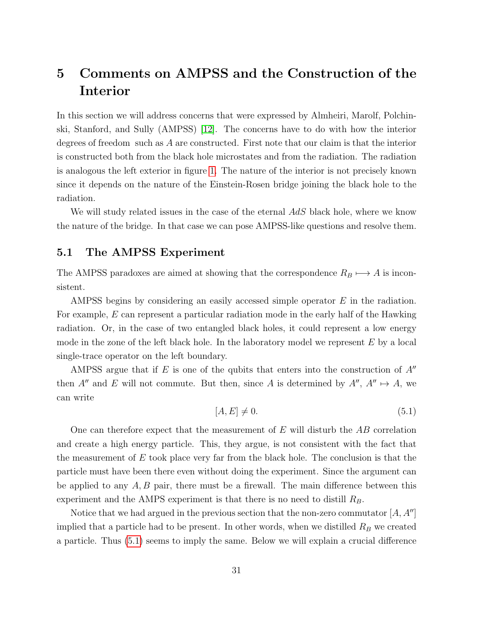## <span id="page-31-0"></span>5 Comments on AMPSS and the Construction of the Interior

In this section we will address concerns that were expressed by Almheiri, Marolf, Polchinski, Stanford, and Sully (AMPSS) [\[12\]](#page-46-8). The concerns have to do with how the interior degrees of freedom such as A are constructed. First note that our claim is that the interior is constructed both from the black hole microstates and from the radiation. The radiation is analogous the left exterior in figure [1.](#page-4-0) The nature of the interior is not precisely known since it depends on the nature of the Einstein-Rosen bridge joining the black hole to the radiation.

We will study related issues in the case of the eternal  $AdS$  black hole, where we know the nature of the bridge. In that case we can pose AMPSS-like questions and resolve them.

#### <span id="page-31-1"></span>5.1 The AMPSS Experiment

The AMPSS paradoxes are aimed at showing that the correspondence  $R_B \longmapsto A$  is inconsistent.

AMPSS begins by considering an easily accessed simple operator E in the radiation. For example, E can represent a particular radiation mode in the early half of the Hawking radiation. Or, in the case of two entangled black holes, it could represent a low energy mode in the zone of the left black hole. In the laboratory model we represent  $E$  by a local single-trace operator on the left boundary.

<span id="page-31-2"></span>AMPSS argue that if E is one of the qubits that enters into the construction of  $A''$ then  $A''$  and E will not commute. But then, since A is determined by  $A''$ ,  $A'' \mapsto A$ , we can write

$$
[A, E] \neq 0. \tag{5.1}
$$

One can therefore expect that the measurement of  $E$  will disturb the  $AB$  correlation and create a high energy particle. This, they argue, is not consistent with the fact that the measurement of  $E$  took place very far from the black hole. The conclusion is that the particle must have been there even without doing the experiment. Since the argument can be applied to any  $A, B$  pair, there must be a firewall. The main difference between this experiment and the AMPS experiment is that there is no need to distill  $R_B$ .

Notice that we had argued in the previous section that the non-zero commutator  $[A, A'']$ implied that a particle had to be present. In other words, when we distilled  $R_B$  we created a particle. Thus [\(5.1\)](#page-31-2) seems to imply the same. Below we will explain a crucial difference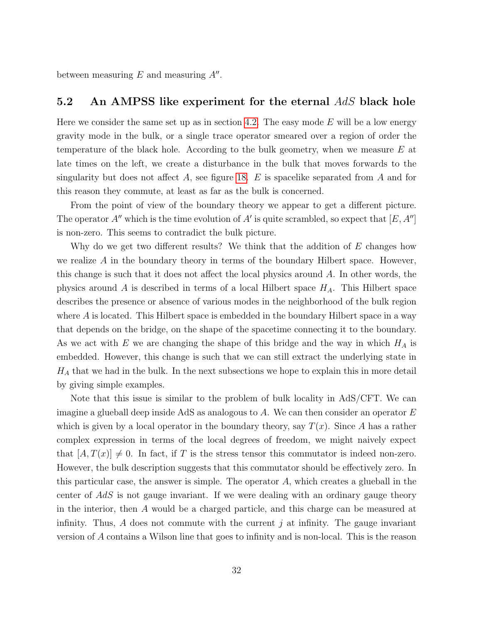between measuring  $E$  and measuring  $A''$ .

#### <span id="page-32-0"></span>5.2 An AMPSS like experiment for the eternal  $AdS$  black hole

Here we consider the same set up as in section [4.2.](#page-24-0) The easy mode  $E$  will be a low energy gravity mode in the bulk, or a single trace operator smeared over a region of order the temperature of the black hole. According to the bulk geometry, when we measure E at late times on the left, we create a disturbance in the bulk that moves forwards to the singularity but does not affect  $A$ , see figure [18.](#page-33-0)  $E$  is spacelike separated from  $A$  and for this reason they commute, at least as far as the bulk is concerned.

From the point of view of the boundary theory we appear to get a different picture. The operator A'' which is the time evolution of A' is quite scrambled, so expect that  $[E, A'']$ is non-zero. This seems to contradict the bulk picture.

Why do we get two different results? We think that the addition of  $E$  changes how we realize  $\tilde{A}$  in the boundary theory in terms of the boundary Hilbert space. However, this change is such that it does not affect the local physics around A. In other words, the physics around A is described in terms of a local Hilbert space  $H_A$ . This Hilbert space describes the presence or absence of various modes in the neighborhood of the bulk region where  $A$  is located. This Hilbert space is embedded in the boundary Hilbert space in a way that depends on the bridge, on the shape of the spacetime connecting it to the boundary. As we act with E we are changing the shape of this bridge and the way in which  $H_A$  is embedded. However, this change is such that we can still extract the underlying state in  $H_A$  that we had in the bulk. In the next subsections we hope to explain this in more detail by giving simple examples.

Note that this issue is similar to the problem of bulk locality in AdS/CFT. We can imagine a glueball deep inside AdS as analogous to A. We can then consider an operator  $E$ which is given by a local operator in the boundary theory, say  $T(x)$ . Since A has a rather complex expression in terms of the local degrees of freedom, we might naively expect that  $[A, T(x)] \neq 0$ . In fact, if T is the stress tensor this commutator is indeed non-zero. However, the bulk description suggests that this commutator should be effectively zero. In this particular case, the answer is simple. The operator  $A$ , which creates a glueball in the center of AdS is not gauge invariant. If we were dealing with an ordinary gauge theory in the interior, then A would be a charged particle, and this charge can be measured at infinity. Thus,  $A$  does not commute with the current  $j$  at infinity. The gauge invariant version of A contains a Wilson line that goes to infinity and is non-local. This is the reason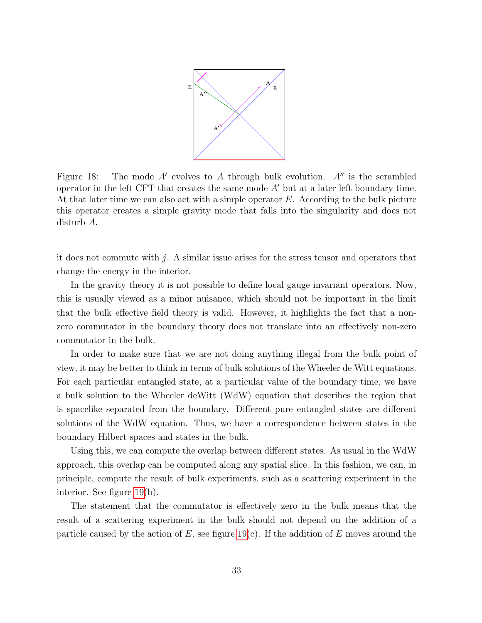

<span id="page-33-0"></span>Figure 18: The mode  $A'$  evolves to  $A$  through bulk evolution.  $A''$  is the scrambled operator in the left CFT that creates the same mode  $A'$  but at a later left boundary time. At that later time we can also act with a simple operator E. According to the bulk picture this operator creates a simple gravity mode that falls into the singularity and does not disturb A.

it does not commute with  $j$ . A similar issue arises for the stress tensor and operators that change the energy in the interior.

In the gravity theory it is not possible to define local gauge invariant operators. Now, this is usually viewed as a minor nuisance, which should not be important in the limit that the bulk effective field theory is valid. However, it highlights the fact that a nonzero commutator in the boundary theory does not translate into an effectively non-zero commutator in the bulk.

In order to make sure that we are not doing anything illegal from the bulk point of view, it may be better to think in terms of bulk solutions of the Wheeler de Witt equations. For each particular entangled state, at a particular value of the boundary time, we have a bulk solution to the Wheeler deWitt (WdW) equation that describes the region that is spacelike separated from the boundary. Different pure entangled states are different solutions of the WdW equation. Thus, we have a correspondence between states in the boundary Hilbert spaces and states in the bulk.

Using this, we can compute the overlap between different states. As usual in the WdW approach, this overlap can be computed along any spatial slice. In this fashion, we can, in principle, compute the result of bulk experiments, such as a scattering experiment in the interior. See figure [19\(](#page-34-0)b).

The statement that the commutator is effectively zero in the bulk means that the result of a scattering experiment in the bulk should not depend on the addition of a particle caused by the action of E, see figure [19\(](#page-34-0)c). If the addition of E moves around the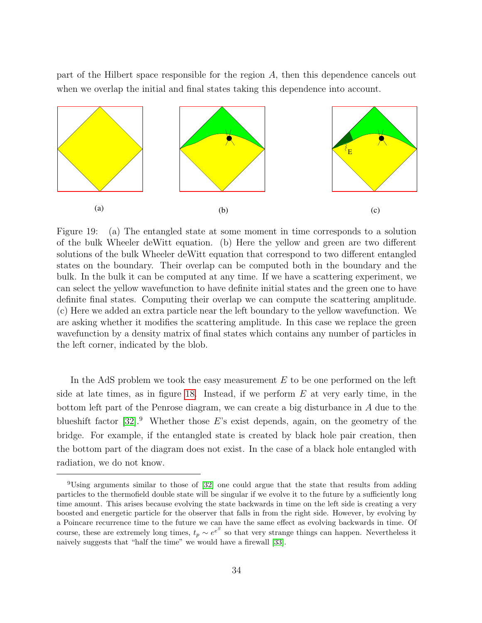part of the Hilbert space responsible for the region A, then this dependence cancels out when we overlap the initial and final states taking this dependence into account.



<span id="page-34-0"></span>Figure 19: (a) The entangled state at some moment in time corresponds to a solution of the bulk Wheeler deWitt equation. (b) Here the yellow and green are two different solutions of the bulk Wheeler deWitt equation that correspond to two different entangled states on the boundary. Their overlap can be computed both in the boundary and the bulk. In the bulk it can be computed at any time. If we have a scattering experiment, we can select the yellow wavefunction to have definite initial states and the green one to have definite final states. Computing their overlap we can compute the scattering amplitude. (c) Here we added an extra particle near the left boundary to the yellow wavefunction. We are asking whether it modifies the scattering amplitude. In this case we replace the green wavefunction by a density matrix of final states which contains any number of particles in the left corner, indicated by the blob.

In the AdS problem we took the easy measurement  $E$  to be one performed on the left side at late times, as in figure [18.](#page-33-0) Instead, if we perform  $E$  at very early time, in the bottom left part of the Penrose diagram, we can create a big disturbance in A due to the blueshift factor  $[32]$ .<sup>9</sup> Whether those E's exist depends, again, on the geometry of the bridge. For example, if the entangled state is created by black hole pair creation, then the bottom part of the diagram does not exist. In the case of a black hole entangled with radiation, we do not know.

<sup>9</sup>Using arguments similar to those of [\[32\]](#page-48-7) one could argue that the state that results from adding particles to the thermofield double state will be singular if we evolve it to the future by a sufficiently long time amount. This arises because evolving the state backwards in time on the left side is creating a very boosted and energetic particle for the observer that falls in from the right side. However, by evolving by a Poincare recurrence time to the future we can have the same effect as evolving backwards in time. Of course, these are extremely long times,  $t_p \sim e^{e^S}$  so that very strange things can happen. Nevertheless it naively suggests that "half the time" we would have a firewall [\[33\]](#page-48-8).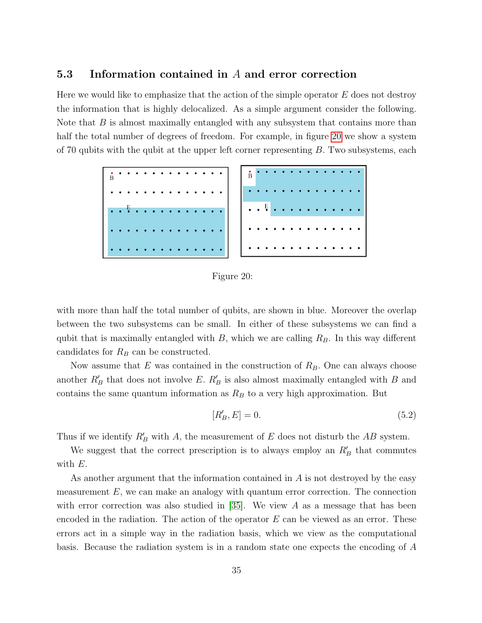#### <span id="page-35-0"></span>5.3 Information contained in A and error correction

Here we would like to emphasize that the action of the simple operator  $E$  does not destroy the information that is highly delocalized. As a simple argument consider the following. Note that  $B$  is almost maximally entangled with any subsystem that contains more than half the total number of degrees of freedom. For example, in figure [20](#page-35-1) we show a system of 70 qubits with the qubit at the upper left corner representing  $B$ . Two subsystems, each



<span id="page-35-1"></span>Figure 20:

with more than half the total number of qubits, are shown in blue. Moreover the overlap between the two subsystems can be small. In either of these subsystems we can find a qubit that is maximally entangled with  $B$ , which we are calling  $R_B$ . In this way different candidates for  $R_B$  can be constructed.

Now assume that E was contained in the construction of  $R_B$ . One can always choose another  $R'_B$  that does not involve E.  $R'_B$  is also almost maximally entangled with B and contains the same quantum information as  $R_B$  to a very high approximation. But

$$
[R'_B, E] = 0.
$$
\n(5.2)

Thus if we identify  $R'_B$  with A, the measurement of E does not disturb the AB system.

We suggest that the correct prescription is to always employ an  $R'_B$  that commutes with E.

As another argument that the information contained in A is not destroyed by the easy measurement  $E$ , we can make an analogy with quantum error correction. The connection with error correction was also studied in [\[35\]](#page-48-9). We view  $A$  as a message that has been encoded in the radiation. The action of the operator  $E$  can be viewed as an error. These errors act in a simple way in the radiation basis, which we view as the computational basis. Because the radiation system is in a random state one expects the encoding of A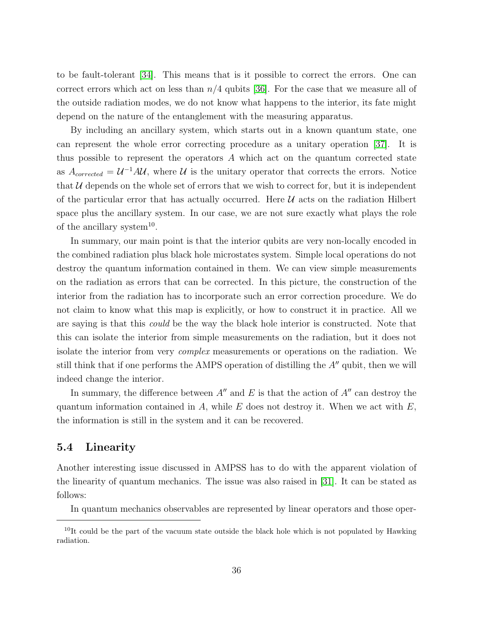to be fault-tolerant [\[34\]](#page-48-10). This means that is it possible to correct the errors. One can correct errors which act on less than  $n/4$  qubits [\[36\]](#page-48-11). For the case that we measure all of the outside radiation modes, we do not know what happens to the interior, its fate might depend on the nature of the entanglement with the measuring apparatus.

By including an ancillary system, which starts out in a known quantum state, one can represent the whole error correcting procedure as a unitary operation [\[37\]](#page-48-12). It is thus possible to represent the operators A which act on the quantum corrected state as  $A_{corrected} = U^{-1} A U$ , where U is the unitary operator that corrects the errors. Notice that  $U$  depends on the whole set of errors that we wish to correct for, but it is independent of the particular error that has actually occurred. Here  $U$  acts on the radiation Hilbert space plus the ancillary system. In our case, we are not sure exactly what plays the role of the ancillary system<sup>10</sup>.

In summary, our main point is that the interior qubits are very non-locally encoded in the combined radiation plus black hole microstates system. Simple local operations do not destroy the quantum information contained in them. We can view simple measurements on the radiation as errors that can be corrected. In this picture, the construction of the interior from the radiation has to incorporate such an error correction procedure. We do not claim to know what this map is explicitly, or how to construct it in practice. All we are saying is that this could be the way the black hole interior is constructed. Note that this can isolate the interior from simple measurements on the radiation, but it does not isolate the interior from very *complex* measurements or operations on the radiation. We still think that if one performs the AMPS operation of distilling the  $A''$  qubit, then we will indeed change the interior.

In summary, the difference between  $A''$  and E is that the action of  $A''$  can destroy the quantum information contained in  $A$ , while  $E$  does not destroy it. When we act with  $E$ , the information is still in the system and it can be recovered.

#### <span id="page-36-0"></span>5.4 Linearity

Another interesting issue discussed in AMPSS has to do with the apparent violation of the linearity of quantum mechanics. The issue was also raised in [\[31\]](#page-48-5). It can be stated as follows:

In quantum mechanics observables are represented by linear operators and those oper-

 $10$ It could be the part of the vacuum state outside the black hole which is not populated by Hawking radiation.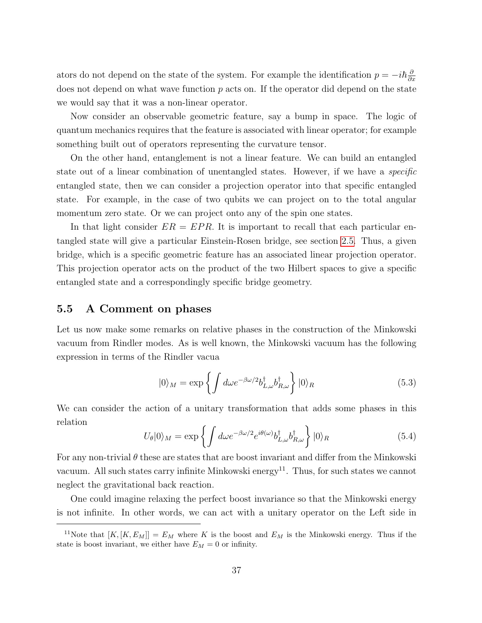ators do not depend on the state of the system. For example the identification  $p = -i\hbar \frac{\partial}{\partial \theta}$ ∂x does not depend on what wave function  $p$  acts on. If the operator did depend on the state we would say that it was a non-linear operator.

Now consider an observable geometric feature, say a bump in space. The logic of quantum mechanics requires that the feature is associated with linear operator; for example something built out of operators representing the curvature tensor.

On the other hand, entanglement is not a linear feature. We can build an entangled state out of a linear combination of unentangled states. However, if we have a *specific* entangled state, then we can consider a projection operator into that specific entangled state. For example, in the case of two qubits we can project on to the total angular momentum zero state. Or we can project onto any of the spin one states.

In that light consider  $ER = EPR$ . It is important to recall that each particular entangled state will give a particular Einstein-Rosen bridge, see section [2.5.](#page-9-0) Thus, a given bridge, which is a specific geometric feature has an associated linear projection operator. This projection operator acts on the product of the two Hilbert spaces to give a specific entangled state and a correspondingly specific bridge geometry.

#### <span id="page-37-0"></span>5.5 A Comment on phases

Let us now make some remarks on relative phases in the construction of the Minkowski vacuum from Rindler modes. As is well known, the Minkowski vacuum has the following expression in terms of the Rindler vacua

<span id="page-37-1"></span>
$$
|0\rangle_{M} = \exp\left\{ \int d\omega e^{-\beta \omega/2} b_{L,\omega}^{\dagger} b_{R,\omega}^{\dagger} \right\} |0\rangle_{R}
$$
 (5.3)

We can consider the action of a unitary transformation that adds some phases in this relation

$$
U_{\theta}|0\rangle_{M} = \exp\left\{ \int d\omega e^{-\beta \omega/2} e^{i\theta(\omega)} b_{L,\omega}^{\dagger} b_{R,\omega}^{\dagger} \right\} |0\rangle_{R}
$$
(5.4)

For any non-trivial  $\theta$  these are states that are boost invariant and differ from the Minkowski vacuum. All such states carry infinite Minkowski energy<sup>11</sup>. Thus, for such states we cannot neglect the gravitational back reaction.

One could imagine relaxing the perfect boost invariance so that the Minkowski energy is not infinite. In other words, we can act with a unitary operator on the Left side in

<sup>&</sup>lt;sup>11</sup>Note that  $[K, [K, E_M]] = E_M$  where K is the boost and  $E_M$  is the Minkowski energy. Thus if the state is boost invariant, we either have  $E_M = 0$  or infinity.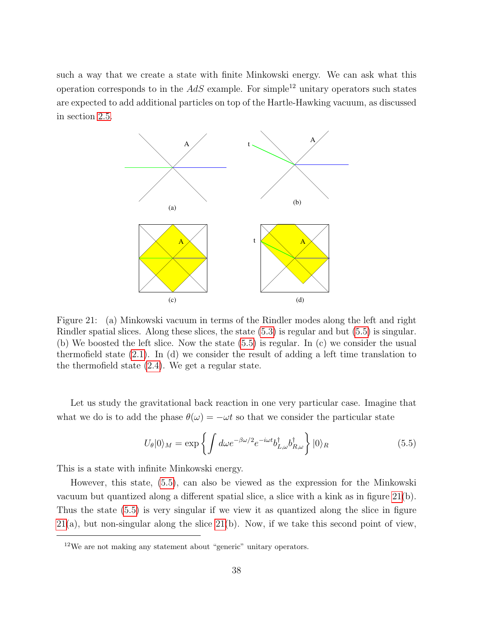such a way that we create a state with finite Minkowski energy. We can ask what this operation corresponds to in the  $AdS$  example. For simple<sup>12</sup> unitary operators such states are expected to add additional particles on top of the Hartle-Hawking vacuum, as discussed in section [2.5.](#page-9-0)



<span id="page-38-1"></span>Figure 21: (a) Minkowski vacuum in terms of the Rindler modes along the left and right Rindler spatial slices. Along these slices, the state [\(5.3\)](#page-37-1) is regular and but [\(5.5\)](#page-38-0) is singular. (b) We boosted the left slice. Now the state [\(5.5\)](#page-38-0) is regular. In (c) we consider the usual thermofield state [\(2.1\)](#page-4-2). In (d) we consider the result of adding a left time translation to the thermofield state [\(2.4\)](#page-5-0). We get a regular state.

Let us study the gravitational back reaction in one very particular case. Imagine that what we do is to add the phase  $\theta(\omega) = -\omega t$  so that we consider the particular state

<span id="page-38-0"></span>
$$
U_{\theta}|0\rangle_{M} = \exp\left\{ \int d\omega e^{-\beta \omega/2} e^{-i\omega t} b_{L,\omega}^{\dagger} b_{R,\omega}^{\dagger} \right\} |0\rangle_{R}
$$
(5.5)

This is a state with infinite Minkowski energy.

However, this state, [\(5.5\)](#page-38-0), can also be viewed as the expression for the Minkowski vacuum but quantized along a different spatial slice, a slice with a kink as in figure [21\(](#page-38-1)b). Thus the state [\(5.5\)](#page-38-0) is very singular if we view it as quantized along the slice in figure [21\(](#page-38-1)a), but non-singular along the slice [21\(](#page-38-1)b). Now, if we take this second point of view,

<sup>12</sup>We are not making any statement about "generic" unitary operators.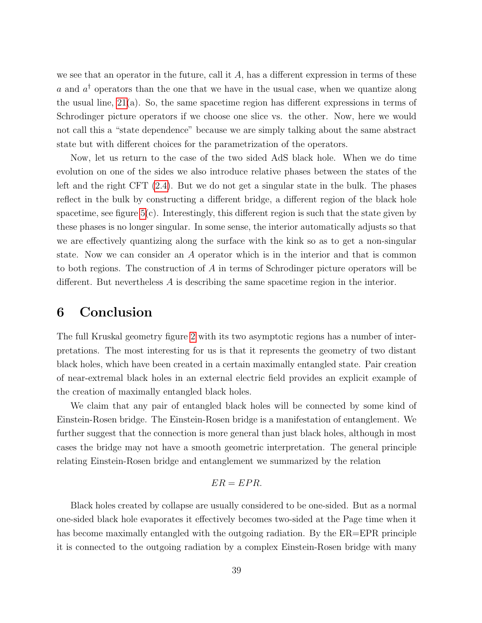we see that an operator in the future, call it  $A$ , has a different expression in terms of these a and  $a^{\dagger}$  operators than the one that we have in the usual case, when we quantize along the usual line, [21\(](#page-38-1)a). So, the same spacetime region has different expressions in terms of Schrodinger picture operators if we choose one slice vs. the other. Now, here we would not call this a "state dependence" because we are simply talking about the same abstract state but with different choices for the parametrization of the operators.

Now, let us return to the case of the two sided AdS black hole. When we do time evolution on one of the sides we also introduce relative phases between the states of the left and the right CFT [\(2.4\)](#page-5-0). But we do not get a singular state in the bulk. The phases reflect in the bulk by constructing a different bridge, a different region of the black hole spacetime, see figure  $5(c)$ . Interestingly, this different region is such that the state given by these phases is no longer singular. In some sense, the interior automatically adjusts so that we are effectively quantizing along the surface with the kink so as to get a non-singular state. Now we can consider an A operator which is in the interior and that is common to both regions. The construction of A in terms of Schrodinger picture operators will be different. But nevertheless A is describing the same spacetime region in the interior.

### <span id="page-39-0"></span>6 Conclusion

The full Kruskal geometry figure [2](#page-7-0) with its two asymptotic regions has a number of interpretations. The most interesting for us is that it represents the geometry of two distant black holes, which have been created in a certain maximally entangled state. Pair creation of near-extremal black holes in an external electric field provides an explicit example of the creation of maximally entangled black holes.

We claim that any pair of entangled black holes will be connected by some kind of Einstein-Rosen bridge. The Einstein-Rosen bridge is a manifestation of entanglement. We further suggest that the connection is more general than just black holes, although in most cases the bridge may not have a smooth geometric interpretation. The general principle relating Einstein-Rosen bridge and entanglement we summarized by the relation

$$
ER = EPR.
$$

Black holes created by collapse are usually considered to be one-sided. But as a normal one-sided black hole evaporates it effectively becomes two-sided at the Page time when it has become maximally entangled with the outgoing radiation. By the  $ER=EPR$  principle it is connected to the outgoing radiation by a complex Einstein-Rosen bridge with many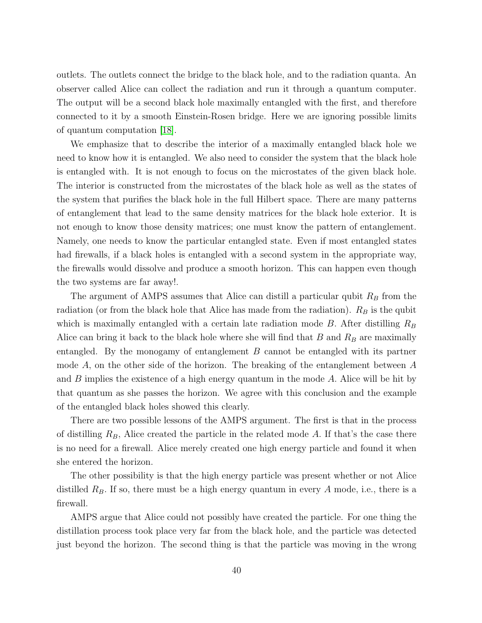outlets. The outlets connect the bridge to the black hole, and to the radiation quanta. An observer called Alice can collect the radiation and run it through a quantum computer. The output will be a second black hole maximally entangled with the first, and therefore connected to it by a smooth Einstein-Rosen bridge. Here we are ignoring possible limits of quantum computation [\[18\]](#page-47-4).

We emphasize that to describe the interior of a maximally entangled black hole we need to know how it is entangled. We also need to consider the system that the black hole is entangled with. It is not enough to focus on the microstates of the given black hole. The interior is constructed from the microstates of the black hole as well as the states of the system that purifies the black hole in the full Hilbert space. There are many patterns of entanglement that lead to the same density matrices for the black hole exterior. It is not enough to know those density matrices; one must know the pattern of entanglement. Namely, one needs to know the particular entangled state. Even if most entangled states had firewalls, if a black holes is entangled with a second system in the appropriate way, the firewalls would dissolve and produce a smooth horizon. This can happen even though the two systems are far away!.

The argument of AMPS assumes that Alice can distill a particular qubit  $R_B$  from the radiation (or from the black hole that Alice has made from the radiation).  $R_B$  is the qubit which is maximally entangled with a certain late radiation mode  $B$ . After distilling  $R_B$ Alice can bring it back to the black hole where she will find that  $B$  and  $R_B$  are maximally entangled. By the monogamy of entanglement B cannot be entangled with its partner mode  $A$ , on the other side of the horizon. The breaking of the entanglement between  $A$ and  $B$  implies the existence of a high energy quantum in the mode  $A$ . Alice will be hit by that quantum as she passes the horizon. We agree with this conclusion and the example of the entangled black holes showed this clearly.

There are two possible lessons of the AMPS argument. The first is that in the process of distilling  $R_B$ , Alice created the particle in the related mode A. If that's the case there is no need for a firewall. Alice merely created one high energy particle and found it when she entered the horizon.

The other possibility is that the high energy particle was present whether or not Alice distilled  $R_B$ . If so, there must be a high energy quantum in every A mode, i.e., there is a firewall.

AMPS argue that Alice could not possibly have created the particle. For one thing the distillation process took place very far from the black hole, and the particle was detected just beyond the horizon. The second thing is that the particle was moving in the wrong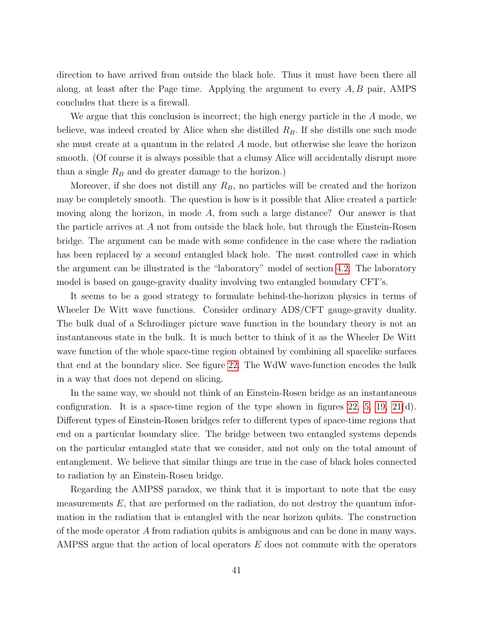direction to have arrived from outside the black hole. Thus it must have been there all along, at least after the Page time. Applying the argument to every A, B pair, AMPS concludes that there is a firewall.

We argue that this conclusion is incorrect; the high energy particle in the A mode, we believe, was indeed created by Alice when she distilled  $R_B$ . If she distills one such mode she must create at a quantum in the related A mode, but otherwise she leave the horizon smooth. (Of course it is always possible that a clumsy Alice will accidentally disrupt more than a single  $R_B$  and do greater damage to the horizon.)

Moreover, if she does not distill any  $R_B$ , no particles will be created and the horizon may be completely smooth. The question is how is it possible that Alice created a particle moving along the horizon, in mode A, from such a large distance? Our answer is that the particle arrives at A not from outside the black hole, but through the Einstein-Rosen bridge. The argument can be made with some confidence in the case where the radiation has been replaced by a second entangled black hole. The most controlled case in which the argument can be illustrated is the "laboratory" model of section [4.2.](#page-24-0) The laboratory model is based on gauge-gravity duality involving two entangled boundary CFT's.

It seems to be a good strategy to formulate behind-the-horizon physics in terms of Wheeler De Witt wave functions. Consider ordinary ADS/CFT gauge-gravity duality. The bulk dual of a Schrodinger picture wave function in the boundary theory is not an instantaneous state in the bulk. It is much better to think of it as the Wheeler De Witt wave function of the whole space-time region obtained by combining all spacelike surfaces that end at the boundary slice. See figure [22.](#page-42-0) The WdW wave-function encodes the bulk in a way that does not depend on slicing.

In the same way, we should not think of an Einstein-Rosen bridge as an instantaneous configuration. It is a space-time region of the type shown in figures  $22, 5, 19, 21(d)$  $22, 5, 19, 21(d)$  $22, 5, 19, 21(d)$  $22, 5, 19, 21(d)$  $22, 5, 19, 21(d)$ . Different types of Einstein-Rosen bridges refer to different types of space-time regions that end on a particular boundary slice. The bridge between two entangled systems depends on the particular entangled state that we consider, and not only on the total amount of entanglement. We believe that similar things are true in the case of black holes connected to radiation by an Einstein-Rosen bridge.

Regarding the AMPSS paradox, we think that it is important to note that the easy measurements  $E$ , that are performed on the radiation, do not destroy the quantum information in the radiation that is entangled with the near horizon qubits. The construction of the mode operator A from radiation qubits is ambiguous and can be done in many ways. AMPSS argue that the action of local operators E does not commute with the operators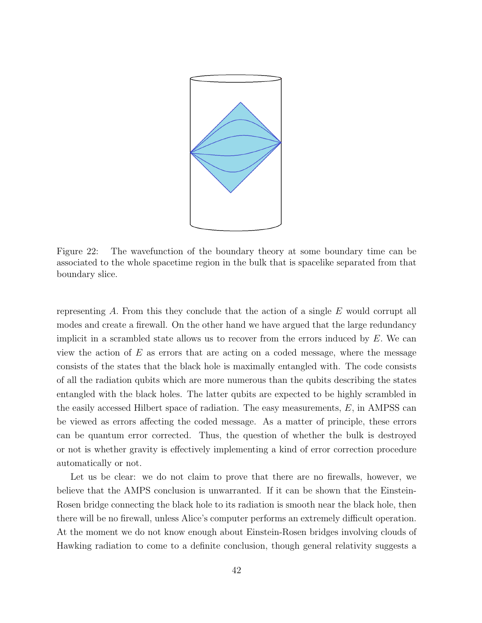

<span id="page-42-0"></span>Figure 22: The wavefunction of the boundary theory at some boundary time can be associated to the whole spacetime region in the bulk that is spacelike separated from that boundary slice.

representing  $A$ . From this they conclude that the action of a single  $E$  would corrupt all modes and create a firewall. On the other hand we have argued that the large redundancy implicit in a scrambled state allows us to recover from the errors induced by  $E$ . We can view the action of  $E$  as errors that are acting on a coded message, where the message consists of the states that the black hole is maximally entangled with. The code consists of all the radiation qubits which are more numerous than the qubits describing the states entangled with the black holes. The latter qubits are expected to be highly scrambled in the easily accessed Hilbert space of radiation. The easy measurements, E, in AMPSS can be viewed as errors affecting the coded message. As a matter of principle, these errors can be quantum error corrected. Thus, the question of whether the bulk is destroyed or not is whether gravity is effectively implementing a kind of error correction procedure automatically or not.

Let us be clear: we do not claim to prove that there are no firewalls, however, we believe that the AMPS conclusion is unwarranted. If it can be shown that the Einstein-Rosen bridge connecting the black hole to its radiation is smooth near the black hole, then there will be no firewall, unless Alice's computer performs an extremely difficult operation. At the moment we do not know enough about Einstein-Rosen bridges involving clouds of Hawking radiation to come to a definite conclusion, though general relativity suggests a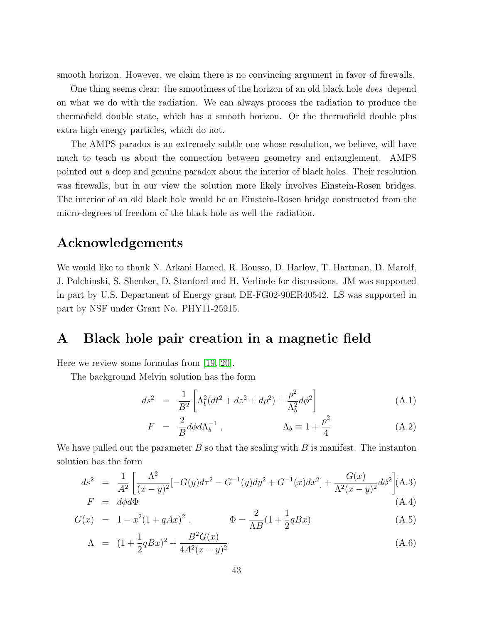smooth horizon. However, we claim there is no convincing argument in favor of firewalls.

One thing seems clear: the smoothness of the horizon of an old black hole *does* depend on what we do with the radiation. We can always process the radiation to produce the thermofield double state, which has a smooth horizon. Or the thermofield double plus extra high energy particles, which do not.

The AMPS paradox is an extremely subtle one whose resolution, we believe, will have much to teach us about the connection between geometry and entanglement. AMPS pointed out a deep and genuine paradox about the interior of black holes. Their resolution was firewalls, but in our view the solution more likely involves Einstein-Rosen bridges. The interior of an old black hole would be an Einstein-Rosen bridge constructed from the micro-degrees of freedom of the black hole as well the radiation.

### Acknowledgements

We would like to thank N. Arkani Hamed, R. Bousso, D. Harlow, T. Hartman, D. Marolf, J. Polchinski, S. Shenker, D. Stanford and H. Verlinde for discussions. JM was supported in part by U.S. Department of Energy grant DE-FG02-90ER40542. LS was supported in part by NSF under Grant No. PHY11-25915.

## <span id="page-43-0"></span>A Black hole pair creation in a magnetic field

Here we review some formulas from [\[19,](#page-47-5) [20\]](#page-47-6).

The background Melvin solution has the form

$$
ds^{2} = \frac{1}{B^{2}} \left[ \Lambda_{b}^{2} (dt^{2} + dz^{2} + d\rho^{2}) + \frac{\rho^{2}}{\Lambda_{b}^{2}} d\phi^{2} \right]
$$
 (A.1)

<span id="page-43-2"></span>
$$
F = \frac{2}{B} d\phi d\Lambda_b^{-1} , \qquad \Lambda_b \equiv 1 + \frac{\rho^2}{4} \qquad (A.2)
$$

We have pulled out the parameter  $B$  so that the scaling with  $B$  is manifest. The instanton solution has the form

<span id="page-43-1"></span>
$$
ds^{2} = \frac{1}{A^{2}} \left[ \frac{\Lambda^{2}}{(x - y)^{2}} [-G(y) d\tau^{2} - G^{-1}(y) dy^{2} + G^{-1}(x) dx^{2}] + \frac{G(x)}{\Lambda^{2}(x - y)^{2}} d\phi^{2} \right] (A.3)
$$
  
\n
$$
F = d\phi d\Phi
$$

$$
G(x) = 1 - x^2(1 + qAx)^2, \qquad \Phi = \frac{2}{\Lambda B}(1 + \frac{1}{2}qBx)
$$
 (A.5)

$$
\Lambda = (1 + \frac{1}{2}qBx)^2 + \frac{B^2G(x)}{4A^2(x - y)^2}
$$
\n(A.6)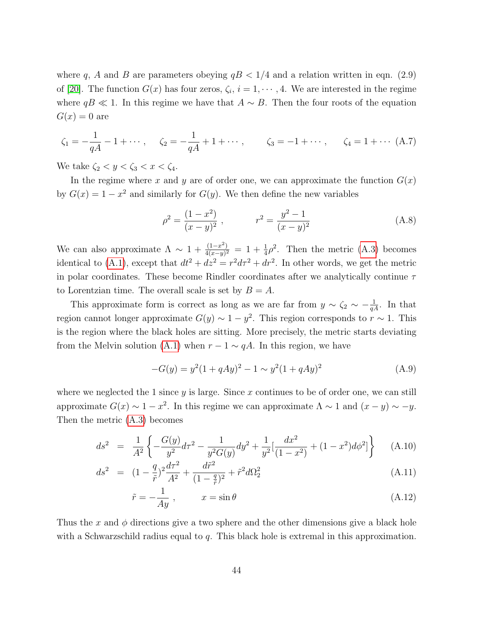where q, A and B are parameters obeying  $qB < 1/4$  and a relation written in eqn. (2.9) of [\[20\]](#page-47-6). The function  $G(x)$  has four zeros,  $\zeta_i$ ,  $i = 1, \dots, 4$ . We are interested in the regime where  $qB \ll 1$ . In this regime we have that  $A \sim B$ . Then the four roots of the equation  $G(x) = 0$  are

$$
\zeta_1 = -\frac{1}{qA} - 1 + \cdots, \quad \zeta_2 = -\frac{1}{qA} + 1 + \cdots, \quad \zeta_3 = -1 + \cdots, \quad \zeta_4 = 1 + \cdots (A.7)
$$

We take  $\zeta_2 < y < \zeta_3 < x < \zeta_4$ .

In the regime where x and y are of order one, we can approximate the function  $G(x)$ by  $G(x) = 1 - x^2$  and similarly for  $G(y)$ . We then define the new variables

$$
\rho^2 = \frac{(1 - x^2)}{(x - y)^2}, \qquad \qquad r^2 = \frac{y^2 - 1}{(x - y)^2}
$$
\n(A.8)

We can also approximate  $\Lambda \sim 1 + \frac{(1-x^2)}{4(x-y)^2}$  $\frac{(1-x^2)}{4(x-y)^2} = 1 + \frac{1}{4}\rho^2$ . Then the metric [\(A.3\)](#page-43-1) becomes identical to [\(A.1\)](#page-43-2), except that  $dt^2 + dz^2 = r^2 d\tau^2 + dr^2$ . In other words, we get the metric in polar coordinates. These become Rindler coordinates after we analytically continue  $\tau$ to Lorentzian time. The overall scale is set by  $B = A$ .

This approximate form is correct as long as we are far from  $y \sim \zeta_2 \sim -\frac{1}{qA}$ . In that region cannot longer approximate  $G(y) \sim 1 - y^2$ . This region corresponds to  $r \sim 1$ . This is the region where the black holes are sitting. More precisely, the metric starts deviating from the Melvin solution [\(A.1\)](#page-43-2) when  $r - 1 \sim qA$ . In this region, we have

<span id="page-44-0"></span>
$$
-G(y) = y^2(1 + qAy)^2 - 1 \sim y^2(1 + qAy)^2 \tag{A.9}
$$

where we neglected the 1 since  $y$  is large. Since  $x$  continues to be of order one, we can still approximate  $G(x) \sim 1 - x^2$ . In this regime we can approximate  $\Lambda \sim 1$  and  $(x - y) \sim -y$ . Then the metric [\(A.3\)](#page-43-1) becomes

$$
ds^{2} = \frac{1}{A^{2}} \left\{ -\frac{G(y)}{y^{2}} d\tau^{2} - \frac{1}{y^{2} G(y)} dy^{2} + \frac{1}{y^{2}} \left[ \frac{dx^{2}}{(1 - x^{2})} + (1 - x^{2}) d\phi^{2} \right] \right\}
$$
(A.10)

$$
ds^{2} = (1 - \frac{q}{\tilde{r}})^{2} \frac{d\tau^{2}}{A^{2}} + \frac{d\tilde{r}^{2}}{(1 - \frac{q}{\tilde{r}})^{2}} + \tilde{r}^{2} d\Omega_{2}^{2}
$$
\n(A.11)

$$
\tilde{r} = -\frac{1}{Ay} , \qquad x = \sin \theta \tag{A.12}
$$

Thus the x and  $\phi$  directions give a two sphere and the other dimensions give a black hole with a Schwarzschild radius equal to  $q$ . This black hole is extremal in this approximation.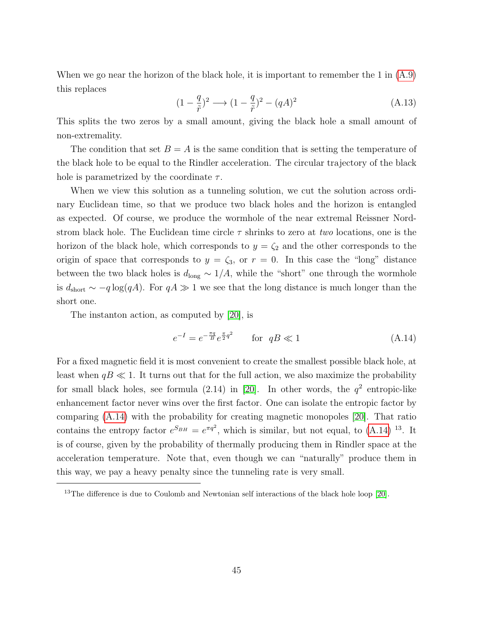When we go near the horizon of the black hole, it is important to remember the 1 in  $(A.9)$ this replaces

$$
(1 - \frac{q}{\tilde{r}})^2 \longrightarrow (1 - \frac{q}{\tilde{r}})^2 - (qA)^2
$$
\n(A.13)

This splits the two zeros by a small amount, giving the black hole a small amount of non-extremality.

The condition that set  $B = A$  is the same condition that is setting the temperature of the black hole to be equal to the Rindler acceleration. The circular trajectory of the black hole is parametrized by the coordinate  $\tau$ .

When we view this solution as a tunneling solution, we cut the solution across ordinary Euclidean time, so that we produce two black holes and the horizon is entangled as expected. Of course, we produce the wormhole of the near extremal Reissner Nordstrom black hole. The Euclidean time circle  $\tau$  shrinks to zero at two locations, one is the horizon of the black hole, which corresponds to  $y = \zeta_2$  and the other corresponds to the origin of space that corresponds to  $y = \zeta_3$ , or  $r = 0$ . In this case the "long" distance between the two black holes is  $d_{\text{long}} \sim 1/A$ , while the "short" one through the wormhole is  $d_{\text{short}} \sim -q \log(qA)$ . For  $qA \gg 1$  we see that the long distance is much longer than the short one.

The instanton action, as computed by [\[20\]](#page-47-6), is

<span id="page-45-0"></span>
$$
e^{-I} = e^{-\frac{\pi q}{B}} e^{\frac{\pi}{2}q^2} \qquad \text{for} \quad qB \ll 1 \tag{A.14}
$$

For a fixed magnetic field it is most convenient to create the smallest possible black hole, at least when  $qB \ll 1$ . It turns out that for the full action, we also maximize the probability for small black holes, see formula  $(2.14)$  in [\[20\]](#page-47-6). In other words, the  $q^2$  entropic-like enhancement factor never wins over the first factor. One can isolate the entropic factor by comparing [\(A.14\)](#page-45-0) with the probability for creating magnetic monopoles [\[20\]](#page-47-6). That ratio contains the entropy factor  $e^{S_{BH}} = e^{\pi q^2}$ , which is similar, but not equal, to [\(A.14\)](#page-45-0) <sup>13</sup>. It is of course, given by the probability of thermally producing them in Rindler space at the acceleration temperature. Note that, even though we can "naturally" produce them in this way, we pay a heavy penalty since the tunneling rate is very small.

 $13$ The difference is due to Coulomb and Newtonian self interactions of the black hole loop [\[20\]](#page-47-6).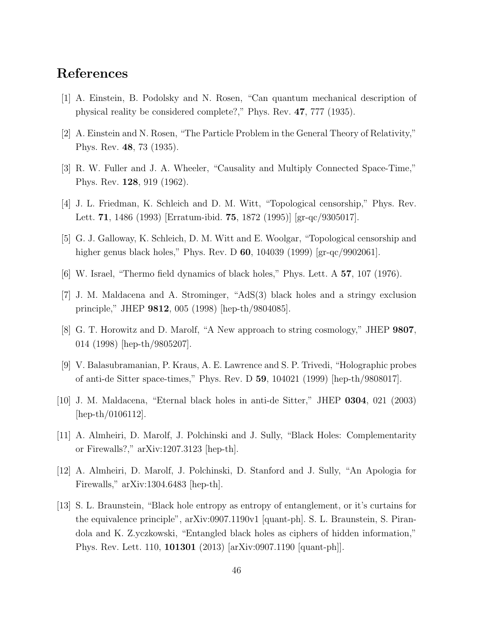### References

- <span id="page-46-0"></span>[1] A. Einstein, B. Podolsky and N. Rosen, "Can quantum mechanical description of physical reality be considered complete?," Phys. Rev. 47, 777 (1935).
- <span id="page-46-1"></span>[2] A. Einstein and N. Rosen, "The Particle Problem in the General Theory of Relativity," Phys. Rev. 48, 73 (1935).
- <span id="page-46-2"></span>[3] R. W. Fuller and J. A. Wheeler, "Causality and Multiply Connected Space-Time," Phys. Rev. 128, 919 (1962).
- <span id="page-46-3"></span>[4] J. L. Friedman, K. Schleich and D. M. Witt, "Topological censorship," Phys. Rev. Lett. 71, 1486 (1993) [Erratum-ibid. 75, 1872 (1995)] [gr-qc/9305017].
- <span id="page-46-4"></span>[5] G. J. Galloway, K. Schleich, D. M. Witt and E. Woolgar, "Topological censorship and higher genus black holes," Phys. Rev. D  $60$ , 104039 (1999) [gr-qc/9902061].
- <span id="page-46-5"></span>[6] W. Israel, "Thermo field dynamics of black holes," Phys. Lett. A 57, 107 (1976).
- <span id="page-46-10"></span>[7] J. M. Maldacena and A. Strominger, "AdS(3) black holes and a stringy exclusion principle," JHEP 9812, 005 (1998) [hep-th/9804085].
- <span id="page-46-11"></span>[8] G. T. Horowitz and D. Marolf, "A New approach to string cosmology," JHEP 9807, 014 (1998) [hep-th/9805207].
- <span id="page-46-12"></span>[9] V. Balasubramanian, P. Kraus, A. E. Lawrence and S. P. Trivedi, "Holographic probes of anti-de Sitter space-times," Phys. Rev. D 59, 104021 (1999) [hep-th/9808017].
- <span id="page-46-6"></span>[10] J. M. Maldacena, "Eternal black holes in anti-de Sitter," JHEP 0304, 021 (2003) [hep-th/0106112].
- <span id="page-46-7"></span>[11] A. Almheiri, D. Marolf, J. Polchinski and J. Sully, "Black Holes: Complementarity or Firewalls?," arXiv:1207.3123 [hep-th].
- <span id="page-46-8"></span>[12] A. Almheiri, D. Marolf, J. Polchinski, D. Stanford and J. Sully, "An Apologia for Firewalls," arXiv:1304.6483 [hep-th].
- <span id="page-46-9"></span>[13] S. L. Braunstein, "Black hole entropy as entropy of entanglement, or it's curtains for the equivalence principle", arXiv:0907.1190v1 [quant-ph]. S. L. Braunstein, S. Pirandola and K. Z.yczkowski, "Entangled black holes as ciphers of hidden information," Phys. Rev. Lett. 110, 101301 (2013) [arXiv:0907.1190 [quant-ph]].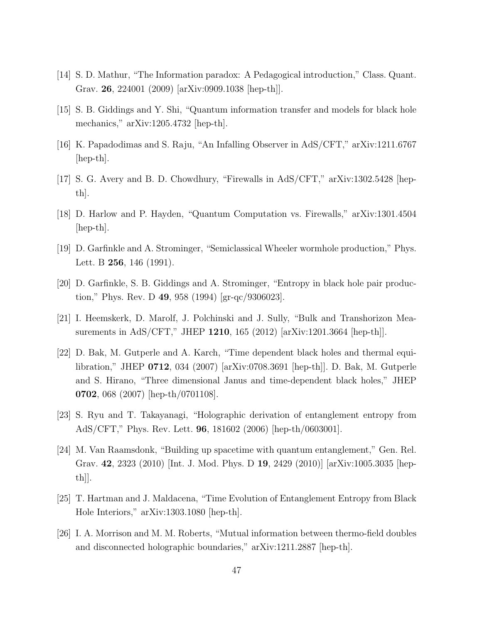- <span id="page-47-0"></span>[14] S. D. Mathur, "The Information paradox: A Pedagogical introduction," Class. Quant. Grav. 26, 224001 (2009) [arXiv:0909.1038 [hep-th]].
- <span id="page-47-1"></span>[15] S. B. Giddings and Y. Shi, "Quantum information transfer and models for black hole mechanics," arXiv:1205.4732 [hep-th].
- <span id="page-47-2"></span>[16] K. Papadodimas and S. Raju, "An Infalling Observer in AdS/CFT," arXiv:1211.6767 [hep-th].
- <span id="page-47-3"></span>[17] S. G. Avery and B. D. Chowdhury, "Firewalls in AdS/CFT," arXiv:1302.5428 [hepth].
- <span id="page-47-4"></span>[18] D. Harlow and P. Hayden, "Quantum Computation vs. Firewalls," arXiv:1301.4504  $\vert$ hep-th $\vert$ .
- <span id="page-47-5"></span>[19] D. Garfinkle and A. Strominger, "Semiclassical Wheeler wormhole production," Phys. Lett. B 256, 146 (1991).
- <span id="page-47-6"></span>[20] D. Garfinkle, S. B. Giddings and A. Strominger, "Entropy in black hole pair production," Phys. Rev. D 49, 958 (1994) [gr-qc/9306023].
- <span id="page-47-7"></span>[21] I. Heemskerk, D. Marolf, J. Polchinski and J. Sully, "Bulk and Transhorizon Measurements in AdS/CFT," JHEP 1210, 165 (2012) [arXiv:1201.3664 [hep-th]].
- <span id="page-47-8"></span>[22] D. Bak, M. Gutperle and A. Karch, "Time dependent black holes and thermal equilibration," JHEP 0712, 034 (2007) [arXiv:0708.3691 [hep-th]]. D. Bak, M. Gutperle and S. Hirano, "Three dimensional Janus and time-dependent black holes," JHEP 0702, 068 (2007) [hep-th/0701108].
- <span id="page-47-9"></span>[23] S. Ryu and T. Takayanagi, "Holographic derivation of entanglement entropy from AdS/CFT," Phys. Rev. Lett. 96, 181602 (2006) [hep-th/0603001].
- <span id="page-47-10"></span>[24] M. Van Raamsdonk, "Building up spacetime with quantum entanglement," Gen. Rel. Grav. 42, 2323 (2010) [Int. J. Mod. Phys. D 19, 2429 (2010)] [arXiv:1005.3035 [hep- $\|th\|$ .
- <span id="page-47-11"></span>[25] T. Hartman and J. Maldacena, "Time Evolution of Entanglement Entropy from Black Hole Interiors," arXiv:1303.1080 [hep-th].
- <span id="page-47-12"></span>[26] I. A. Morrison and M. M. Roberts, "Mutual information between thermo-field doubles and disconnected holographic boundaries," arXiv:1211.2887 [hep-th].